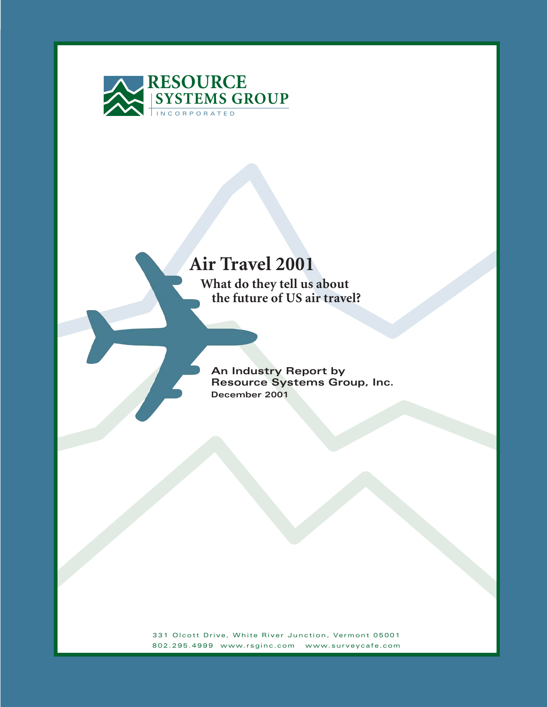

# **Air Travel 2001**

 **What do they tell us about the future of US air travel?**

**An Industry Report by Resource Systems Group, Inc. December 2001**

331 Olcott Drive, White River Junction, Vermont 05001 802.295.4999 www.rsginc.com www.surveycafe.com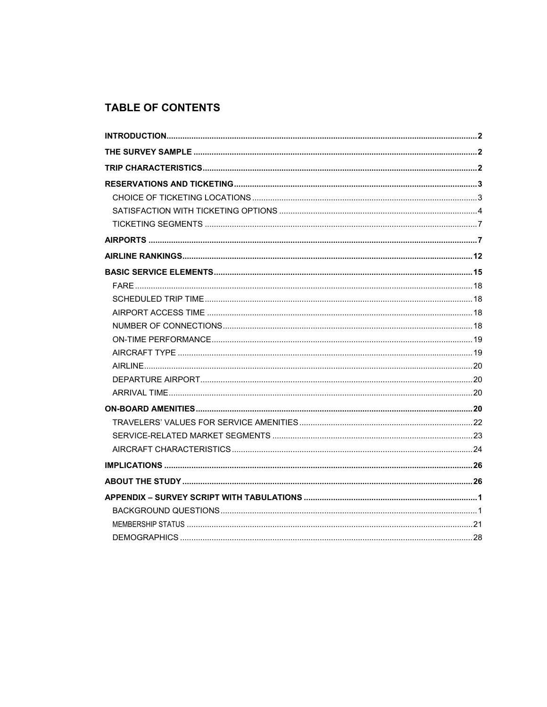# **TABLE OF CONTENTS**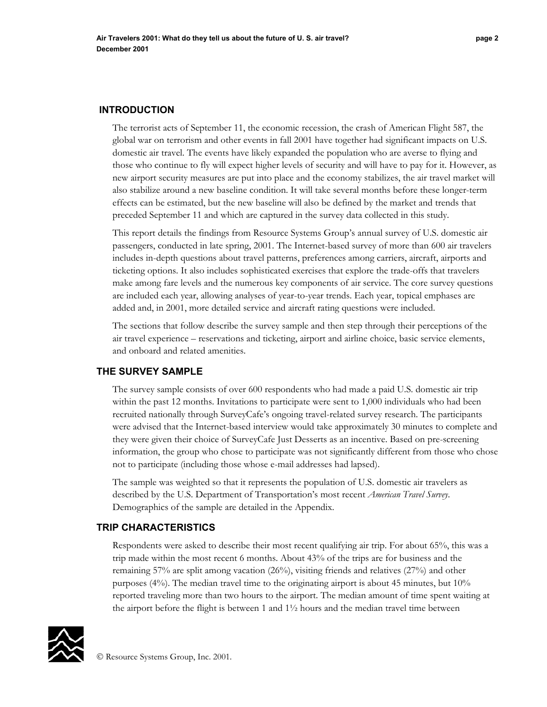The terrorist acts of September 11, the economic recession, the crash of American Flight 587, the global war on terrorism and other events in fall 2001 have together had significant impacts on U.S. domestic air travel. The events have likely expanded the population who are averse to flying and those who continue to fly will expect higher levels of security and will have to pay for it. However, as new airport security measures are put into place and the economy stabilizes, the air travel market will also stabilize around a new baseline condition. It will take several months before these longer-term effects can be estimated, but the new baseline will also be defined by the market and trends that preceded September 11 and which are captured in the survey data collected in this study.

This report details the findings from Resource Systems Group's annual survey of U.S. domestic air passengers, conducted in late spring, 2001. The Internet-based survey of more than 600 air travelers includes in-depth questions about travel patterns, preferences among carriers, aircraft, airports and ticketing options. It also includes sophisticated exercises that explore the trade-offs that travelers make among fare levels and the numerous key components of air service. The core survey questions are included each year, allowing analyses of year-to-year trends. Each year, topical emphases are added and, in 2001, more detailed service and aircraft rating questions were included.

The sections that follow describe the survey sample and then step through their perceptions of the air travel experience – reservations and ticketing, airport and airline choice, basic service elements, and onboard and related amenities.

# **THE SURVEY SAMPLE**

The survey sample consists of over 600 respondents who had made a paid U.S. domestic air trip within the past 12 months. Invitations to participate were sent to 1,000 individuals who had been recruited nationally through SurveyCafe's ongoing travel-related survey research. The participants were advised that the Internet-based interview would take approximately 30 minutes to complete and they were given their choice of SurveyCafe Just Desserts as an incentive. Based on pre-screening information, the group who chose to participate was not significantly different from those who chose not to participate (including those whose e-mail addresses had lapsed).

The sample was weighted so that it represents the population of U.S. domestic air travelers as described by the U.S. Department of Transportation's most recent *American Travel Survey*. Demographics of the sample are detailed in the Appendix.

## **TRIP CHARACTERISTICS**

Respondents were asked to describe their most recent qualifying air trip. For about 65%, this was a trip made within the most recent 6 months. About 43% of the trips are for business and the remaining 57% are split among vacation (26%), visiting friends and relatives (27%) and other purposes (4%). The median travel time to the originating airport is about 45 minutes, but 10% reported traveling more than two hours to the airport. The median amount of time spent waiting at the airport before the flight is between 1 and  $1\frac{1}{2}$  hours and the median travel time between

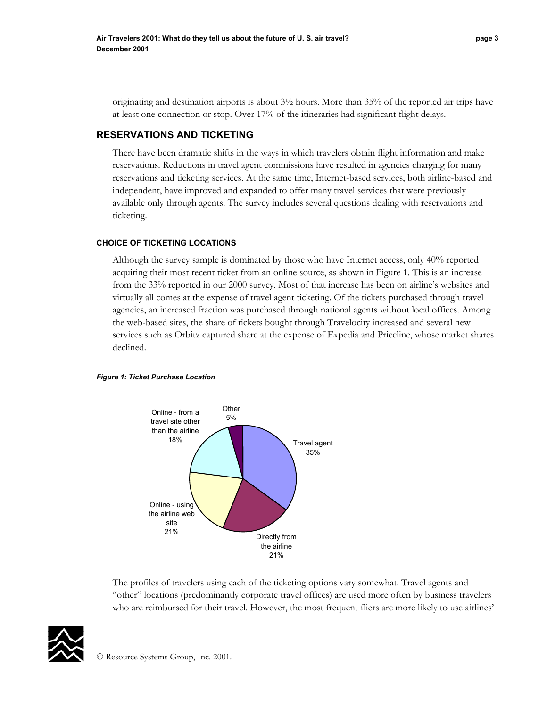originating and destination airports is about 3½ hours. More than 35% of the reported air trips have at least one connection or stop. Over 17% of the itineraries had significant flight delays.

## **RESERVATIONS AND TICKETING**

There have been dramatic shifts in the ways in which travelers obtain flight information and make reservations. Reductions in travel agent commissions have resulted in agencies charging for many reservations and ticketing services. At the same time, Internet-based services, both airline-based and independent, have improved and expanded to offer many travel services that were previously available only through agents. The survey includes several questions dealing with reservations and ticketing.

#### **CHOICE OF TICKETING LOCATIONS**

Although the survey sample is dominated by those who have Internet access, only 40% reported acquiring their most recent ticket from an online source, as shown in Figure 1. This is an increase from the 33% reported in our 2000 survey. Most of that increase has been on airline's websites and virtually all comes at the expense of travel agent ticketing. Of the tickets purchased through travel agencies, an increased fraction was purchased through national agents without local offices. Among the web-based sites, the share of tickets bought through Travelocity increased and several new services such as Orbitz captured share at the expense of Expedia and Priceline, whose market shares declined.

#### *Figure 1: Ticket Purchase Location*



The profiles of travelers using each of the ticketing options vary somewhat. Travel agents and "other" locations (predominantly corporate travel offices) are used more often by business travelers who are reimbursed for their travel. However, the most frequent fliers are more likely to use airlines'

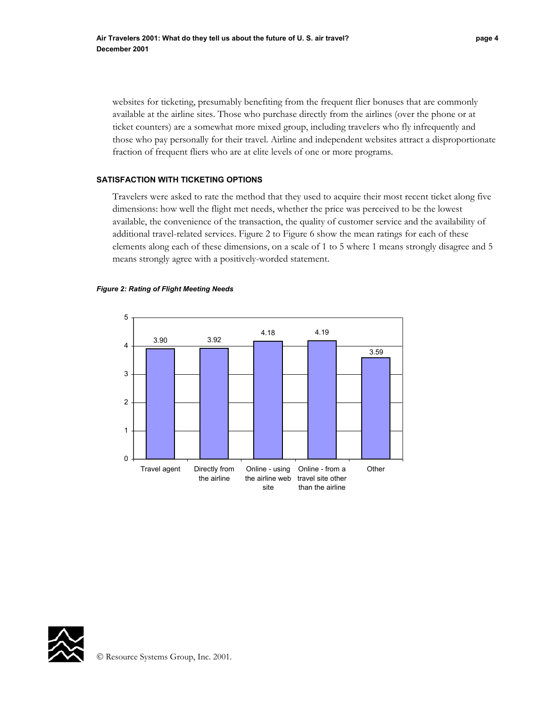websites for ticketing, presumably benefiting from the frequent flier bonuses that are commonly available at the airline sites. Those who purchase directly from the airlines (over the phone or at ticket counters) are a somewhat more mixed group, including travelers who fly infrequently and those who pay personally for their travel. Airline and independent websites attract a disproportionate fraction of frequent fliers who are at elite levels of one or more programs.

#### **SATISFACTION WITH TICKETING OPTIONS**

Travelers were asked to rate the method that they used to acquire their most recent ticket along five dimensions: how well the flight met needs, whether the price was perceived to be the lowest available, the convenience of the transaction, the quality of customer service and the availability of additional travel-related services. Figure 2 to Figure 6 show the mean ratings for each of these elements along each of these dimensions, on a scale of 1 to 5 where 1 means strongly disagree and 5 means strongly agree with a positively-worded statement.

#### *Figure 2: Rating of Flight Meeting Needs*



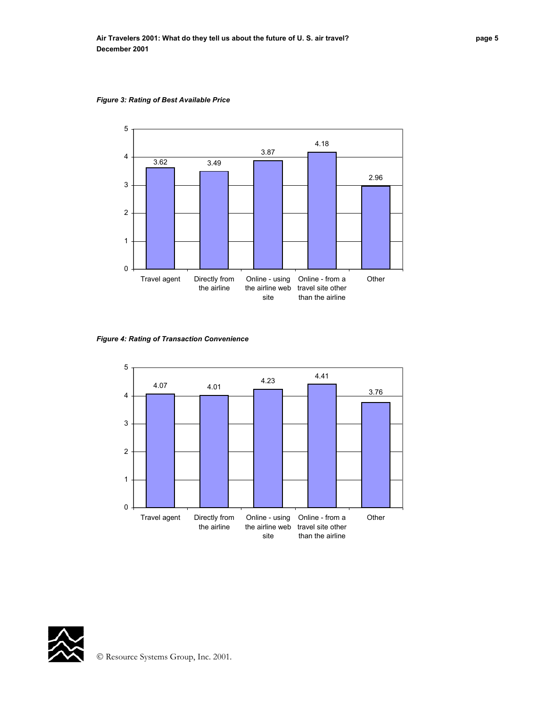

the airline web site

travel site other than the airline

*Figure 3: Rating of Best Available Price* 

*Figure 4: Rating of Transaction Convenience* 

the airline



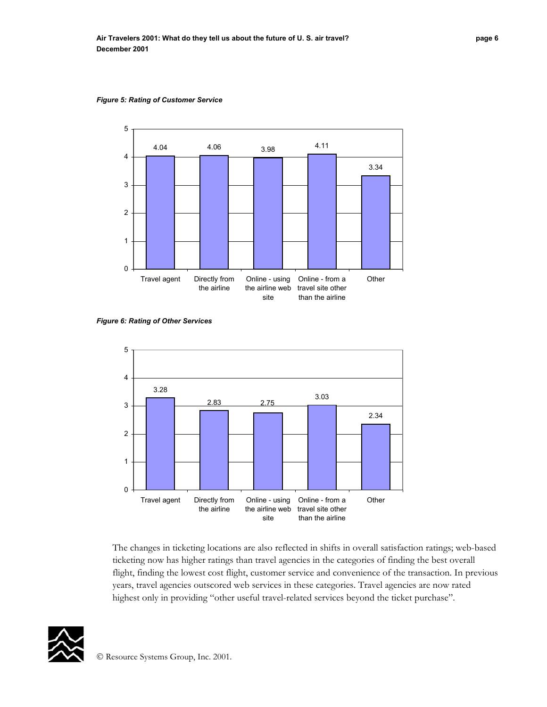

*Figure 5: Rating of Customer Service* 

*Figure 6: Rating of Other Services* 



The changes in ticketing locations are also reflected in shifts in overall satisfaction ratings; web-based ticketing now has higher ratings than travel agencies in the categories of finding the best overall flight, finding the lowest cost flight, customer service and convenience of the transaction. In previous years, travel agencies outscored web services in these categories. Travel agencies are now rated highest only in providing "other useful travel-related services beyond the ticket purchase".

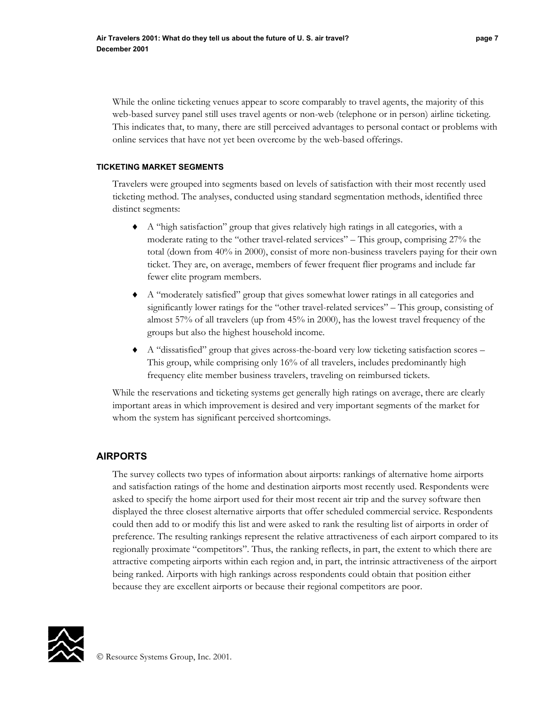While the online ticketing venues appear to score comparably to travel agents, the majority of this web-based survey panel still uses travel agents or non-web (telephone or in person) airline ticketing. This indicates that, to many, there are still perceived advantages to personal contact or problems with online services that have not yet been overcome by the web-based offerings.

#### **TICKETING MARKET SEGMENTS**

Travelers were grouped into segments based on levels of satisfaction with their most recently used ticketing method. The analyses, conducted using standard segmentation methods, identified three distinct segments:

- ♦ A "high satisfaction" group that gives relatively high ratings in all categories, with a moderate rating to the "other travel-related services" – This group, comprising 27% the total (down from 40% in 2000), consist of more non-business travelers paying for their own ticket. They are, on average, members of fewer frequent flier programs and include far fewer elite program members.
- ♦ A "moderately satisfied" group that gives somewhat lower ratings in all categories and significantly lower ratings for the "other travel-related services" – This group, consisting of almost 57% of all travelers (up from 45% in 2000), has the lowest travel frequency of the groups but also the highest household income.
- A "dissatisfied" group that gives across-the-board very low ticketing satisfaction scores This group, while comprising only 16% of all travelers, includes predominantly high frequency elite member business travelers, traveling on reimbursed tickets.

While the reservations and ticketing systems get generally high ratings on average, there are clearly important areas in which improvement is desired and very important segments of the market for whom the system has significant perceived shortcomings.

# **AIRPORTS**

The survey collects two types of information about airports: rankings of alternative home airports and satisfaction ratings of the home and destination airports most recently used. Respondents were asked to specify the home airport used for their most recent air trip and the survey software then displayed the three closest alternative airports that offer scheduled commercial service. Respondents could then add to or modify this list and were asked to rank the resulting list of airports in order of preference. The resulting rankings represent the relative attractiveness of each airport compared to its regionally proximate "competitors". Thus, the ranking reflects, in part, the extent to which there are attractive competing airports within each region and, in part, the intrinsic attractiveness of the airport being ranked. Airports with high rankings across respondents could obtain that position either because they are excellent airports or because their regional competitors are poor.

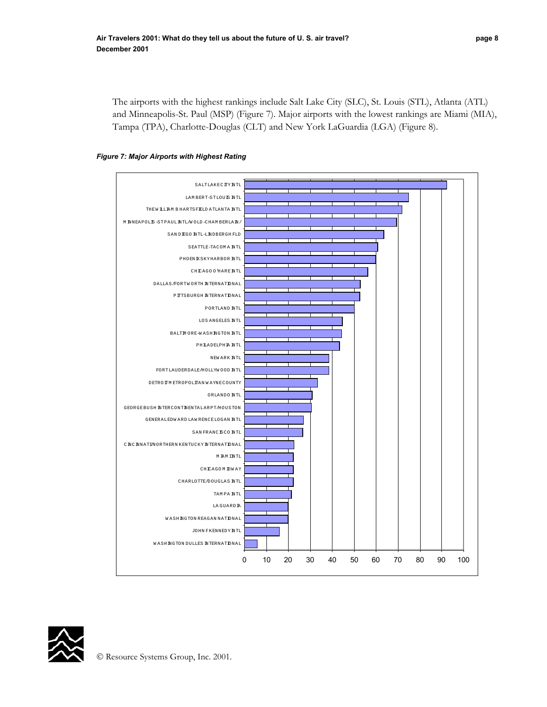The airports with the highest rankings include Salt Lake City (SLC), St. Louis (STL), Atlanta (ATL) and Minneapolis-St. Paul (MSP) (Figure 7). Major airports with the lowest rankings are Miami (MIA), Tampa (TPA), Charlotte-Douglas (CLT) and New York LaGuardia (LGA) (Figure 8).





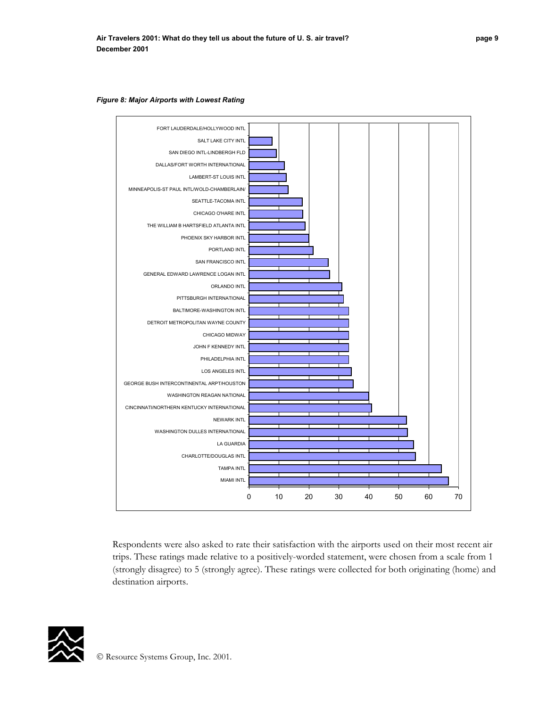

*Figure 8: Major Airports with Lowest Rating* 

Respondents were also asked to rate their satisfaction with the airports used on their most recent air trips. These ratings made relative to a positively-worded statement, were chosen from a scale from 1 (strongly disagree) to 5 (strongly agree). These ratings were collected for both originating (home) and destination airports.

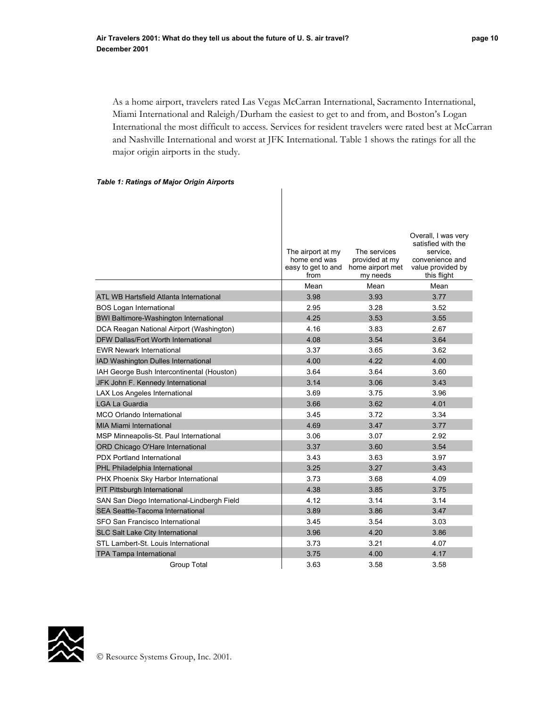As a home airport, travelers rated Las Vegas McCarran International, Sacramento International, Miami International and Raleigh/Durham the easiest to get to and from, and Boston's Logan International the most difficult to access. Services for resident travelers were rated best at McCarran and Nashville International and worst at JFK International. Table 1 shows the ratings for all the major origin airports in the study.

#### *Table 1: Ratings of Major Origin Airports*

|                                               |                                                                 |                                                                | Overall, I was very                                                                   |
|-----------------------------------------------|-----------------------------------------------------------------|----------------------------------------------------------------|---------------------------------------------------------------------------------------|
|                                               | The airport at my<br>home end was<br>easy to get to and<br>from | The services<br>provided at my<br>home airport met<br>my needs | satisfied with the<br>service.<br>convenience and<br>value provided by<br>this flight |
|                                               | Mean                                                            | Mean                                                           | Mean                                                                                  |
| ATL WB Hartsfield Atlanta International       | 3.98                                                            | 3.93                                                           | 3.77                                                                                  |
| <b>BOS Logan International</b>                | 2.95                                                            | 3.28                                                           | 3.52                                                                                  |
| <b>BWI Baltimore-Washington International</b> | 4.25                                                            | 3.53                                                           | 3.55                                                                                  |
| DCA Reagan National Airport (Washington)      | 4.16                                                            | 3.83                                                           | 2.67                                                                                  |
| <b>DFW Dallas/Fort Worth International</b>    | 4.08                                                            | 3.54                                                           | 3.64                                                                                  |
| <b>EWR Newark International</b>               | 3.37                                                            | 3.65                                                           | 3.62                                                                                  |
| IAD Washington Dulles International           | 4.00                                                            | 4.22                                                           | 4.00                                                                                  |
| IAH George Bush Intercontinental (Houston)    | 3.64                                                            | 3.64                                                           | 3.60                                                                                  |
| JFK John F. Kennedy International             | 3.14                                                            | 3.06                                                           | 3.43                                                                                  |
| LAX Los Angeles International                 | 3.69                                                            | 3.75                                                           | 3.96                                                                                  |
| <b>LGA La Guardia</b>                         | 3.66                                                            | 3.62                                                           | 4.01                                                                                  |
| <b>MCO Orlando International</b>              | 3.45                                                            | 3.72                                                           | 3.34                                                                                  |
| <b>MIA Miami International</b>                | 4.69                                                            | 3.47                                                           | 3.77                                                                                  |
| MSP Minneapolis-St. Paul International        | 3.06                                                            | 3.07                                                           | 2.92                                                                                  |
| ORD Chicago O'Hare International              | 3.37                                                            | 3.60                                                           | 3.54                                                                                  |
| <b>PDX Portland International</b>             | 3.43                                                            | 3.63                                                           | 3.97                                                                                  |
| PHL Philadelphia International                | 3.25                                                            | 3.27                                                           | 3.43                                                                                  |
| PHX Phoenix Sky Harbor International          | 3.73                                                            | 3.68                                                           | 4.09                                                                                  |
| PIT Pittsburgh International                  | 4.38                                                            | 3.85                                                           | 3.75                                                                                  |
| SAN San Diego International-Lindbergh Field   | 4.12                                                            | 3.14                                                           | 3.14                                                                                  |
| SEA Seattle-Tacoma International              | 3.89                                                            | 3.86                                                           | 3.47                                                                                  |
| SFO San Francisco International               | 3.45                                                            | 3.54                                                           | 3.03                                                                                  |
| SLC Salt Lake City International              | 3.96                                                            | 4.20                                                           | 3.86                                                                                  |
| STL Lambert-St. Louis International           | 3.73                                                            | 3.21                                                           | 4.07                                                                                  |
| <b>TPA Tampa International</b>                | 3.75                                                            | 4.00                                                           | 4.17                                                                                  |
| <b>Group Total</b>                            | 3.63                                                            | 3.58                                                           | 3.58                                                                                  |

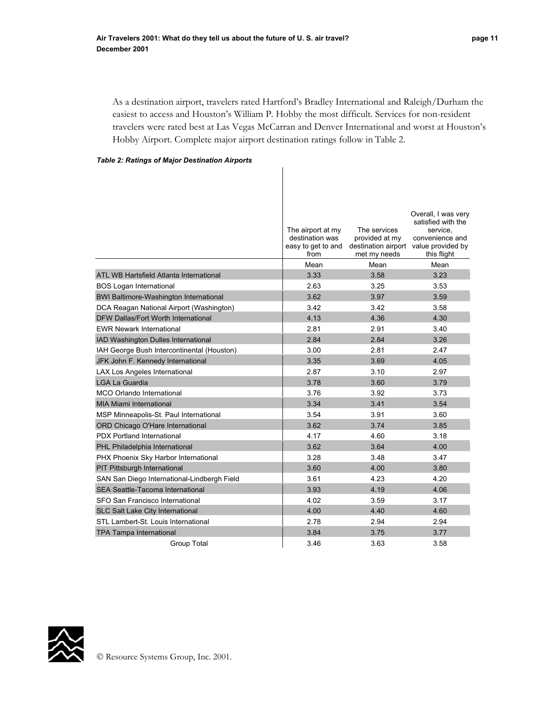As a destination airport, travelers rated Hartford's Bradley International and Raleigh/Durham the easiest to access and Houston's William P. Hobby the most difficult. Services for non-resident travelers were rated best at Las Vegas McCarran and Denver International and worst at Houston's Hobby Airport. Complete major airport destination ratings follow in Table 2.

#### *Table 2: Ratings of Major Destination Airports*

|                                               | The airport at my<br>destination was<br>easy to get to and<br>from<br>Mean | The services<br>provided at my<br>met my needs<br>Mean | Overall, I was very<br>satisfied with the<br>service.<br>convenience and<br>destination airport value provided by<br>this flight<br>Mean |
|-----------------------------------------------|----------------------------------------------------------------------------|--------------------------------------------------------|------------------------------------------------------------------------------------------------------------------------------------------|
| ATL WB Hartsfield Atlanta International       | 3.33                                                                       | 3.58                                                   | 3.23                                                                                                                                     |
| <b>BOS Logan International</b>                | 2.63                                                                       | 3.25                                                   | 3.53                                                                                                                                     |
| <b>BWI Baltimore-Washington International</b> | 3.62                                                                       | 3.97                                                   | 3.59                                                                                                                                     |
| DCA Reagan National Airport (Washington)      | 3.42                                                                       | 3.42                                                   | 3.58                                                                                                                                     |
| DFW Dallas/Fort Worth International           | 4.13                                                                       | 4.36                                                   | 4.30                                                                                                                                     |
| <b>EWR Newark International</b>               | 2.81                                                                       | 2.91                                                   | 3.40                                                                                                                                     |
| IAD Washington Dulles International           | 2.84                                                                       | 2.84                                                   | 3.26                                                                                                                                     |
| IAH George Bush Intercontinental (Houston)    | 3.00                                                                       | 2.81                                                   | 2.47                                                                                                                                     |
| JFK John F. Kennedy International             | 3.35                                                                       | 3.69                                                   | 4.05                                                                                                                                     |
| LAX Los Angeles International                 | 2.87                                                                       | 3.10                                                   | 2.97                                                                                                                                     |
| <b>LGA La Guardia</b>                         | 3.78                                                                       | 3.60                                                   | 3.79                                                                                                                                     |
| MCO Orlando International                     | 3.76                                                                       | 3.92                                                   | 3.73                                                                                                                                     |
| <b>MIA Miami International</b>                | 3.34                                                                       | 3.41                                                   | 3.54                                                                                                                                     |
| MSP Minneapolis-St. Paul International        | 3.54                                                                       | 3.91                                                   | 3.60                                                                                                                                     |
| ORD Chicago O'Hare International              | 3.62                                                                       | 3.74                                                   | 3.85                                                                                                                                     |
| <b>PDX Portland International</b>             | 4.17                                                                       | 4.60                                                   | 3.18                                                                                                                                     |
| PHL Philadelphia International                | 3.62                                                                       | 3.64                                                   | 4.00                                                                                                                                     |
| PHX Phoenix Sky Harbor International          | 3.28                                                                       | 3.48                                                   | 3.47                                                                                                                                     |
| PIT Pittsburgh International                  | 3.60                                                                       | 4.00                                                   | 3.80                                                                                                                                     |
| SAN San Diego International-Lindbergh Field   | 3.61                                                                       | 4.23                                                   | 4.20                                                                                                                                     |
| SEA Seattle-Tacoma International              | 3.93                                                                       | 4.19                                                   | 4.06                                                                                                                                     |
| SFO San Francisco International               | 4.02                                                                       | 3.59                                                   | 3.17                                                                                                                                     |
| SLC Salt Lake City International              | 4.00                                                                       | 4.40                                                   | 4.60                                                                                                                                     |
| STL Lambert-St. Louis International           | 2.78                                                                       | 2.94                                                   | 2.94                                                                                                                                     |
| TPA Tampa International                       | 3.84                                                                       | 3.75                                                   | 3.77                                                                                                                                     |
| Group Total                                   | 3.46                                                                       | 3.63                                                   | 3.58                                                                                                                                     |

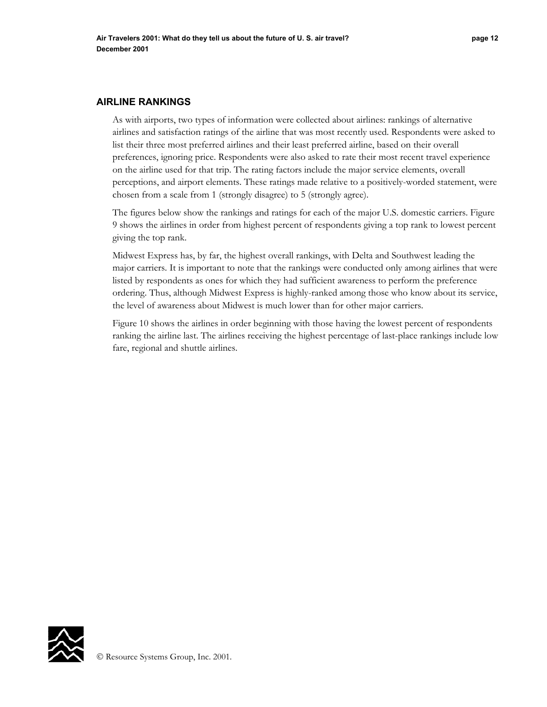As with airports, two types of information were collected about airlines: rankings of alternative airlines and satisfaction ratings of the airline that was most recently used. Respondents were asked to list their three most preferred airlines and their least preferred airline, based on their overall preferences, ignoring price. Respondents were also asked to rate their most recent travel experience on the airline used for that trip. The rating factors include the major service elements, overall perceptions, and airport elements. These ratings made relative to a positively-worded statement, were chosen from a scale from 1 (strongly disagree) to 5 (strongly agree).

The figures below show the rankings and ratings for each of the major U.S. domestic carriers. Figure 9 shows the airlines in order from highest percent of respondents giving a top rank to lowest percent giving the top rank.

Midwest Express has, by far, the highest overall rankings, with Delta and Southwest leading the major carriers. It is important to note that the rankings were conducted only among airlines that were listed by respondents as ones for which they had sufficient awareness to perform the preference ordering. Thus, although Midwest Express is highly-ranked among those who know about its service, the level of awareness about Midwest is much lower than for other major carriers.

Figure 10 shows the airlines in order beginning with those having the lowest percent of respondents ranking the airline last. The airlines receiving the highest percentage of last-place rankings include low fare, regional and shuttle airlines.

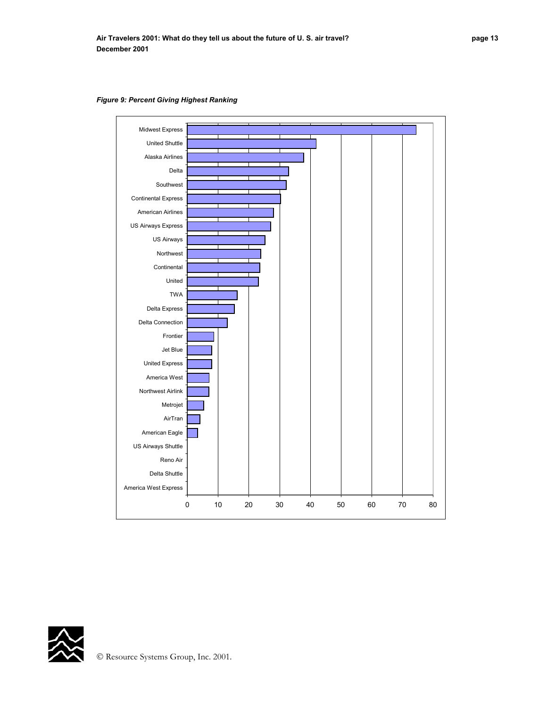

*Figure 9: Percent Giving Highest Ranking* 

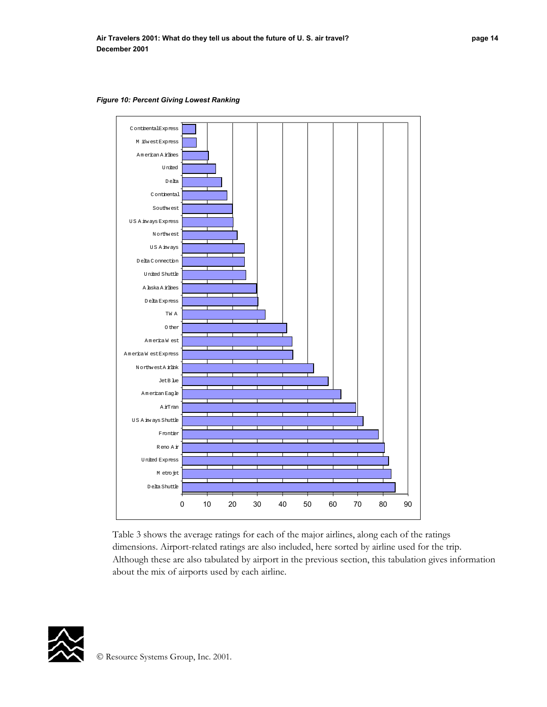*Figure 10: Percent Giving Lowest Ranking* 



Table 3 shows the average ratings for each of the major airlines, along each of the ratings dimensions. Airport-related ratings are also included, here sorted by airline used for the trip. Although these are also tabulated by airport in the previous section, this tabulation gives information about the mix of airports used by each airline.

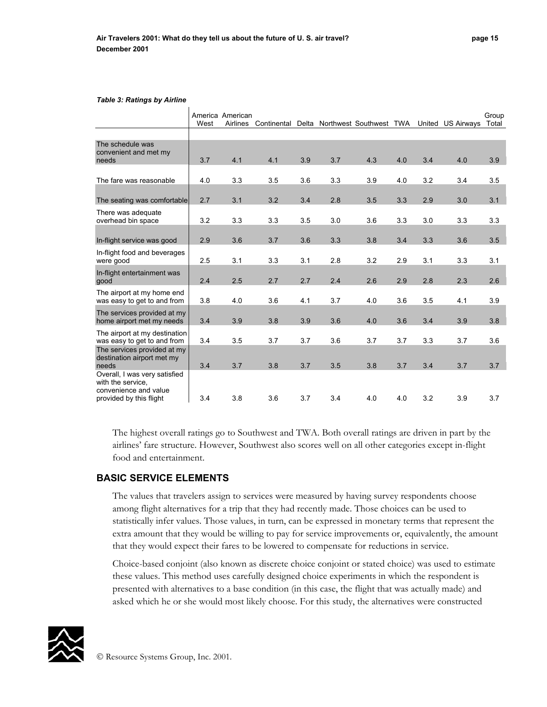#### *Table 3: Ratings by Airline*

| West                                 | <b>Airlines</b> | Continental       |                                       |                   |            |            |                                                    |            | Group<br>Total                         |
|--------------------------------------|-----------------|-------------------|---------------------------------------|-------------------|------------|------------|----------------------------------------------------|------------|----------------------------------------|
|                                      |                 |                   |                                       |                   |            |            |                                                    |            |                                        |
|                                      |                 |                   |                                       |                   |            |            |                                                    |            |                                        |
| 3.7                                  |                 |                   |                                       |                   |            |            |                                                    |            | 3.9                                    |
| 4.0                                  | 3.3             | 3.5               | 3.6                                   | 3.3               | 3.9        | 4.0        | 3.2                                                | 3.4        | 3.5                                    |
| 2.7<br>The seating was comfortable   | 3.1             | 3.2               | 3.4                                   | 2.8               | 3.5        | 3.3        | 2.9                                                | 3.0        | 3.1                                    |
| 3.2                                  |                 |                   |                                       | 3.0               | 3.6        |            | 3.0                                                |            | 3.3                                    |
| 2.9                                  | 3.6             | 3.7               | 3.6                                   | 3.3               | 3.8        | 3.4        | 3.3                                                | 3.6        | 3.5                                    |
| 2.5                                  | 3.1             | 3.3               | 3.1                                   | 2.8               | 3.2        | 2.9        | 3.1                                                | 3.3        | 3.1                                    |
| 2.4                                  | 2.5             | 2.7               | 2.7                                   | 2.4               | 2.6        | 2.9        | 2.8                                                | 2.3        | 2.6                                    |
| 3.8                                  | 4.0             | 3.6               | 4.1                                   | 3.7               | 4.0        | 3.6        | 3.5                                                | 4.1        | 3.9                                    |
| 3.4                                  | 3.9             | 3.8               | 3.9                                   | 3.6               | 4.0        | 3.6        | 3.4                                                | 3.9        | 3.8                                    |
| The airport at my destination<br>3.4 | 3.5             | 3.7               | 3.7                                   | 3.6               | 3.7        | 3.7        | 3.3                                                | 3.7        | 3.6                                    |
|                                      |                 |                   |                                       |                   |            |            |                                                    |            | 3.7                                    |
| 3.4                                  | 3.8             | 3.6               | 3.7                                   | 3.4               | 4.0        | 4.0        | 3.2                                                | 3.9        | 3.7                                    |
|                                      | 3.4             | 4.1<br>3.3<br>3.7 | America American<br>4.1<br>3.3<br>3.8 | 3.9<br>3.5<br>3.7 | 3.7<br>3.5 | 4.3<br>3.8 | Delta Northwest Southwest TWA<br>4.0<br>3.3<br>3.7 | 3.4<br>3.4 | United US Airways<br>4.0<br>3.3<br>3.7 |

The highest overall ratings go to Southwest and TWA. Both overall ratings are driven in part by the airlines' fare structure. However, Southwest also scores well on all other categories except in-flight food and entertainment.

## **BASIC SERVICE ELEMENTS**

The values that travelers assign to services were measured by having survey respondents choose among flight alternatives for a trip that they had recently made. Those choices can be used to statistically infer values. Those values, in turn, can be expressed in monetary terms that represent the extra amount that they would be willing to pay for service improvements or, equivalently, the amount that they would expect their fares to be lowered to compensate for reductions in service.

Choice-based conjoint (also known as discrete choice conjoint or stated choice) was used to estimate these values. This method uses carefully designed choice experiments in which the respondent is presented with alternatives to a base condition (in this case, the flight that was actually made) and asked which he or she would most likely choose. For this study, the alternatives were constructed

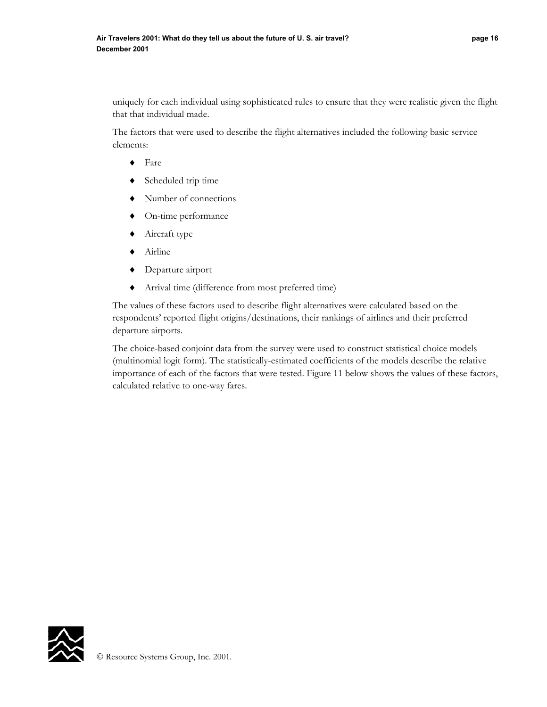uniquely for each individual using sophisticated rules to ensure that they were realistic given the flight that that individual made.

The factors that were used to describe the flight alternatives included the following basic service elements:

- ♦ Fare
- ♦ Scheduled trip time
- ♦ Number of connections
- ♦ On-time performance
- ♦ Aircraft type
- ♦ Airline
- ♦ Departure airport
- ♦ Arrival time (difference from most preferred time)

The values of these factors used to describe flight alternatives were calculated based on the respondents' reported flight origins/destinations, their rankings of airlines and their preferred departure airports.

The choice-based conjoint data from the survey were used to construct statistical choice models (multinomial logit form). The statistically-estimated coefficients of the models describe the relative importance of each of the factors that were tested. Figure 11 below shows the values of these factors, calculated relative to one-way fares.

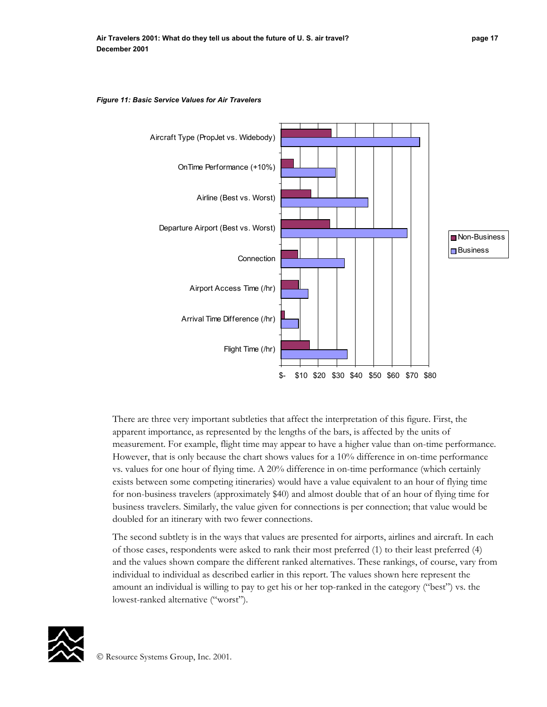

*Figure 11: Basic Service Values for Air Travelers* 

There are three very important subtleties that affect the interpretation of this figure. First, the apparent importance, as represented by the lengths of the bars, is affected by the units of measurement. For example, flight time may appear to have a higher value than on-time performance. However, that is only because the chart shows values for a 10% difference in on-time performance vs. values for one hour of flying time. A 20% difference in on-time performance (which certainly exists between some competing itineraries) would have a value equivalent to an hour of flying time for non-business travelers (approximately \$40) and almost double that of an hour of flying time for business travelers. Similarly, the value given for connections is per connection; that value would be doubled for an itinerary with two fewer connections.

The second subtlety is in the ways that values are presented for airports, airlines and aircraft. In each of those cases, respondents were asked to rank their most preferred (1) to their least preferred (4) and the values shown compare the different ranked alternatives. These rankings, of course, vary from individual to individual as described earlier in this report. The values shown here represent the amount an individual is willing to pay to get his or her top-ranked in the category ("best") vs. the lowest-ranked alternative ("worst").

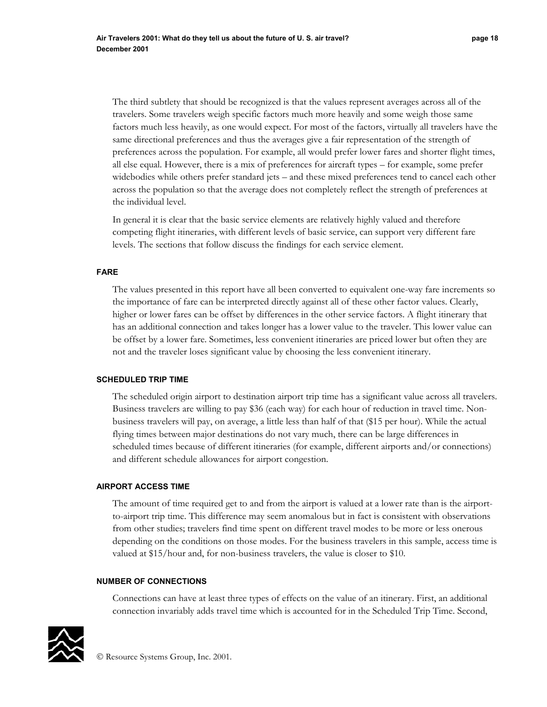The third subtlety that should be recognized is that the values represent averages across all of the travelers. Some travelers weigh specific factors much more heavily and some weigh those same factors much less heavily, as one would expect. For most of the factors, virtually all travelers have the same directional preferences and thus the averages give a fair representation of the strength of preferences across the population. For example, all would prefer lower fares and shorter flight times, all else equal. However, there is a mix of preferences for aircraft types – for example, some prefer widebodies while others prefer standard jets – and these mixed preferences tend to cancel each other across the population so that the average does not completely reflect the strength of preferences at the individual level.

In general it is clear that the basic service elements are relatively highly valued and therefore competing flight itineraries, with different levels of basic service, can support very different fare levels. The sections that follow discuss the findings for each service element.

#### **FARE**

The values presented in this report have all been converted to equivalent one-way fare increments so the importance of fare can be interpreted directly against all of these other factor values. Clearly, higher or lower fares can be offset by differences in the other service factors. A flight itinerary that has an additional connection and takes longer has a lower value to the traveler. This lower value can be offset by a lower fare. Sometimes, less convenient itineraries are priced lower but often they are not and the traveler loses significant value by choosing the less convenient itinerary.

#### **SCHEDULED TRIP TIME**

The scheduled origin airport to destination airport trip time has a significant value across all travelers. Business travelers are willing to pay \$36 (each way) for each hour of reduction in travel time. Nonbusiness travelers will pay, on average, a little less than half of that (\$15 per hour). While the actual flying times between major destinations do not vary much, there can be large differences in scheduled times because of different itineraries (for example, different airports and/or connections) and different schedule allowances for airport congestion.

#### **AIRPORT ACCESS TIME**

The amount of time required get to and from the airport is valued at a lower rate than is the airportto-airport trip time. This difference may seem anomalous but in fact is consistent with observations from other studies; travelers find time spent on different travel modes to be more or less onerous depending on the conditions on those modes. For the business travelers in this sample, access time is valued at \$15/hour and, for non-business travelers, the value is closer to \$10.

#### **NUMBER OF CONNECTIONS**

Connections can have at least three types of effects on the value of an itinerary. First, an additional connection invariably adds travel time which is accounted for in the Scheduled Trip Time. Second,

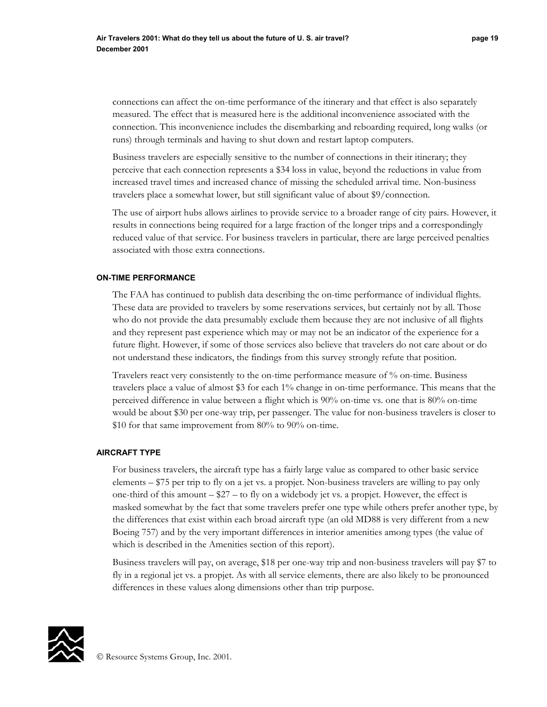connections can affect the on-time performance of the itinerary and that effect is also separately measured. The effect that is measured here is the additional inconvenience associated with the connection. This inconvenience includes the disembarking and reboarding required, long walks (or runs) through terminals and having to shut down and restart laptop computers.

Business travelers are especially sensitive to the number of connections in their itinerary; they perceive that each connection represents a \$34 loss in value, beyond the reductions in value from increased travel times and increased chance of missing the scheduled arrival time. Non-business travelers place a somewhat lower, but still significant value of about \$9/connection.

The use of airport hubs allows airlines to provide service to a broader range of city pairs. However, it results in connections being required for a large fraction of the longer trips and a correspondingly reduced value of that service. For business travelers in particular, there are large perceived penalties associated with those extra connections.

#### **ON-TIME PERFORMANCE**

The FAA has continued to publish data describing the on-time performance of individual flights. These data are provided to travelers by some reservations services, but certainly not by all. Those who do not provide the data presumably exclude them because they are not inclusive of all flights and they represent past experience which may or may not be an indicator of the experience for a future flight. However, if some of those services also believe that travelers do not care about or do not understand these indicators, the findings from this survey strongly refute that position.

Travelers react very consistently to the on-time performance measure of % on-time. Business travelers place a value of almost \$3 for each 1% change in on-time performance. This means that the perceived difference in value between a flight which is 90% on-time vs. one that is 80% on-time would be about \$30 per one-way trip, per passenger. The value for non-business travelers is closer to \$10 for that same improvement from 80% to 90% on-time.

#### **AIRCRAFT TYPE**

For business travelers, the aircraft type has a fairly large value as compared to other basic service elements – \$75 per trip to fly on a jet vs. a propjet. Non-business travelers are willing to pay only one-third of this amount  $-\$27 -$  to fly on a widebody jet vs. a propjet. However, the effect is masked somewhat by the fact that some travelers prefer one type while others prefer another type, by the differences that exist within each broad aircraft type (an old MD88 is very different from a new Boeing 757) and by the very important differences in interior amenities among types (the value of which is described in the Amenities section of this report).

Business travelers will pay, on average, \$18 per one-way trip and non-business travelers will pay \$7 to fly in a regional jet vs. a propjet. As with all service elements, there are also likely to be pronounced differences in these values along dimensions other than trip purpose.

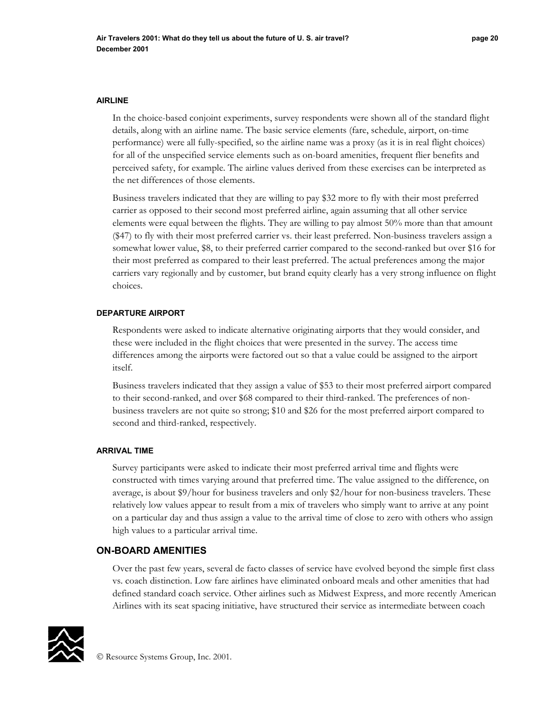#### **AIRLINE**

In the choice-based conjoint experiments, survey respondents were shown all of the standard flight details, along with an airline name. The basic service elements (fare, schedule, airport, on-time performance) were all fully-specified, so the airline name was a proxy (as it is in real flight choices) for all of the unspecified service elements such as on-board amenities, frequent flier benefits and perceived safety, for example. The airline values derived from these exercises can be interpreted as the net differences of those elements.

Business travelers indicated that they are willing to pay \$32 more to fly with their most preferred carrier as opposed to their second most preferred airline, again assuming that all other service elements were equal between the flights. They are willing to pay almost 50% more than that amount (\$47) to fly with their most preferred carrier vs. their least preferred. Non-business travelers assign a somewhat lower value, \$8, to their preferred carrier compared to the second-ranked but over \$16 for their most preferred as compared to their least preferred. The actual preferences among the major carriers vary regionally and by customer, but brand equity clearly has a very strong influence on flight choices.

## **DEPARTURE AIRPORT**

Respondents were asked to indicate alternative originating airports that they would consider, and these were included in the flight choices that were presented in the survey. The access time differences among the airports were factored out so that a value could be assigned to the airport itself.

Business travelers indicated that they assign a value of \$53 to their most preferred airport compared to their second-ranked, and over \$68 compared to their third-ranked. The preferences of nonbusiness travelers are not quite so strong; \$10 and \$26 for the most preferred airport compared to second and third-ranked, respectively.

#### **ARRIVAL TIME**

Survey participants were asked to indicate their most preferred arrival time and flights were constructed with times varying around that preferred time. The value assigned to the difference, on average, is about \$9/hour for business travelers and only \$2/hour for non-business travelers. These relatively low values appear to result from a mix of travelers who simply want to arrive at any point on a particular day and thus assign a value to the arrival time of close to zero with others who assign high values to a particular arrival time.

# **ON-BOARD AMENITIES**

Over the past few years, several de facto classes of service have evolved beyond the simple first class vs. coach distinction. Low fare airlines have eliminated onboard meals and other amenities that had defined standard coach service. Other airlines such as Midwest Express, and more recently American Airlines with its seat spacing initiative, have structured their service as intermediate between coach

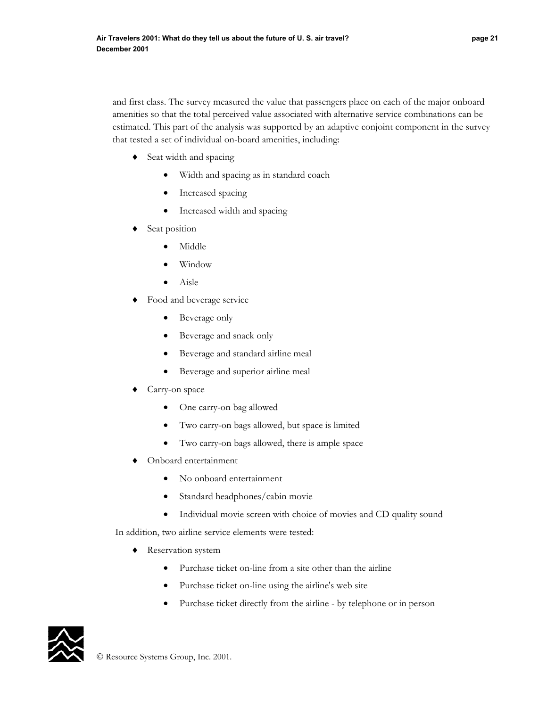and first class. The survey measured the value that passengers place on each of the major onboard amenities so that the total perceived value associated with alternative service combinations can be estimated. This part of the analysis was supported by an adaptive conjoint component in the survey that tested a set of individual on-board amenities, including:

- ♦ Seat width and spacing
	- Width and spacing as in standard coach
	- Increased spacing
	- Increased width and spacing
- Seat position
	- Middle
	- Window
	- Aisle
- Food and beverage service
	- Beverage only
	- Beverage and snack only
	- Beverage and standard airline meal
	- Beverage and superior airline meal
- Carry-on space
	- One carry-on bag allowed
	- Two carry-on bags allowed, but space is limited
	- Two carry-on bags allowed, there is ample space
- Onboard entertainment
	- No onboard entertainment
	- Standard headphones/cabin movie
	- Individual movie screen with choice of movies and CD quality sound

In addition, two airline service elements were tested:

- ♦ Reservation system
	- Purchase ticket on-line from a site other than the airline
	- Purchase ticket on-line using the airline's web site
	- Purchase ticket directly from the airline by telephone or in person

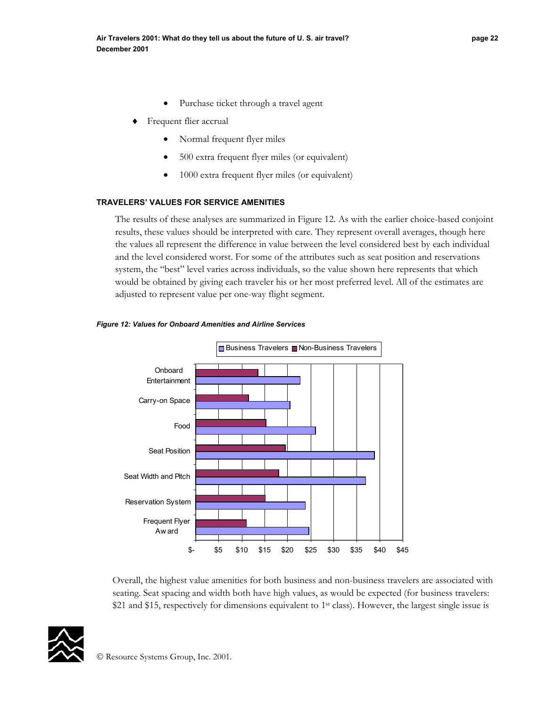- Purchase ticket through a travel agent
- Frequent flier accrual
	- Normal frequent flyer miles
	- 500 extra frequent flyer miles (or equivalent)
	- 1000 extra frequent flyer miles (or equivalent)

## **TRAVELERS' VALUES FOR SERVICE AMENITIES**

The results of these analyses are summarized in Figure 12. As with the earlier choice-based conjoint results, these values should be interpreted with care. They represent overall averages, though here the values all represent the difference in value between the level considered best by each individual and the level considered worst. For some of the attributes such as seat position and reservations system, the "best" level varies across individuals, so the value shown here represents that which would be obtained by giving each traveler his or her most preferred level. All of the estimates are adjusted to represent value per one-way flight segment.



#### *Figure 12: Values for Onboard Amenities and Airline Services*

Overall, the highest value amenities for both business and non-business travelers are associated with seating. Seat spacing and width both have high values, as would be expected (for business travelers: \$21 and \$15, respectively for dimensions equivalent to 1<sup>st</sup> class). However, the largest single issue is

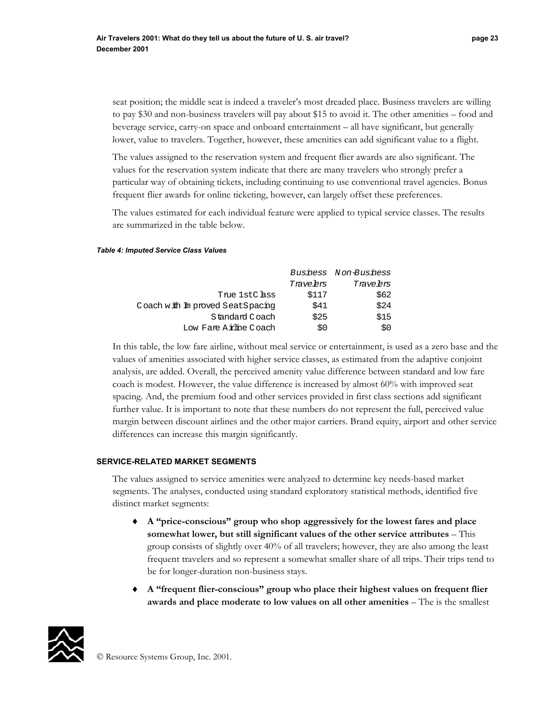seat position; the middle seat is indeed a traveler's most dreaded place. Business travelers are willing to pay \$30 and non-business travelers will pay about \$15 to avoid it. The other amenities – food and beverage service, carry-on space and onboard entertainment – all have significant, but generally lower, value to travelers. Together, however, these amenities can add significant value to a flight.

The values assigned to the reservation system and frequent flier awards are also significant. The values for the reservation system indicate that there are many travelers who strongly prefer a particular way of obtaining tickets, including continuing to use conventional travel agencies. Bonus frequent flier awards for online ticketing, however, can largely offset these preferences.

The values estimated for each individual feature were applied to typical service classes. The results are summarized in the table below.

#### *Table 4: Imputed Service Class Values*

|                                 |           | Business Non-Business |
|---------------------------------|-----------|-----------------------|
|                                 | Trave brs | Trave brs             |
| True 1stC ass                   | \$117     | \$62                  |
| Coach with Improved SeatSpacing | \$41      | \$24                  |
| Standard Coach                  | \$25      | \$15                  |
| Low Fare A rhine Coach          | S0        | SΩ                    |

In this table, the low fare airline, without meal service or entertainment, is used as a zero base and the values of amenities associated with higher service classes, as estimated from the adaptive conjoint analysis, are added. Overall, the perceived amenity value difference between standard and low fare coach is modest. However, the value difference is increased by almost 60% with improved seat spacing. And, the premium food and other services provided in first class sections add significant further value. It is important to note that these numbers do not represent the full, perceived value margin between discount airlines and the other major carriers. Brand equity, airport and other service differences can increase this margin significantly.

#### **SERVICE-RELATED MARKET SEGMENTS**

The values assigned to service amenities were analyzed to determine key needs-based market segments. The analyses, conducted using standard exploratory statistical methods, identified five distinct market segments:

- ♦ **A "price-conscious" group who shop aggressively for the lowest fares and place somewhat lower, but still significant values of the other service attributes** – This group consists of slightly over 40% of all travelers; however, they are also among the least frequent travelers and so represent a somewhat smaller share of all trips. Their trips tend to be for longer-duration non-business stays.
- ♦ **A "frequent flier-conscious" group who place their highest values on frequent flier awards and place moderate to low values on all other amenities** – The is the smallest

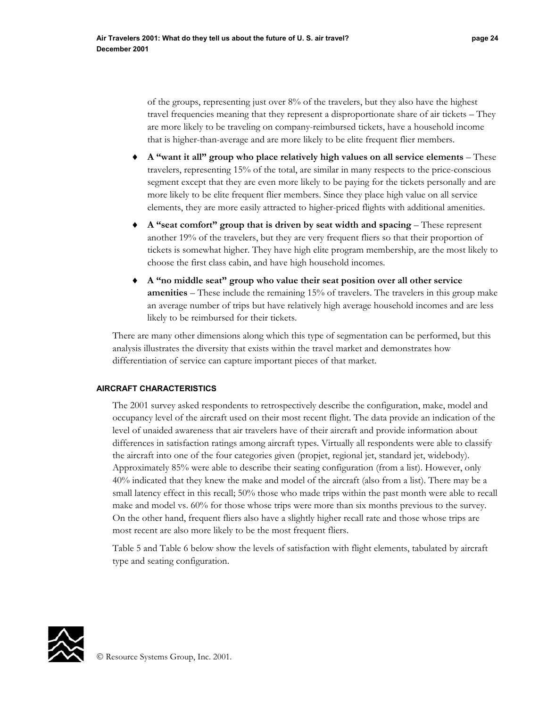of the groups, representing just over 8% of the travelers, but they also have the highest travel frequencies meaning that they represent a disproportionate share of air tickets – They are more likely to be traveling on company-reimbursed tickets, have a household income that is higher-than-average and are more likely to be elite frequent flier members.

- ♦ **A "want it all" group who place relatively high values on all service elements** These travelers, representing 15% of the total, are similar in many respects to the price-conscious segment except that they are even more likely to be paying for the tickets personally and are more likely to be elite frequent flier members. Since they place high value on all service elements, they are more easily attracted to higher-priced flights with additional amenities.
- ♦ **A "seat comfort" group that is driven by seat width and spacing** These represent another 19% of the travelers, but they are very frequent fliers so that their proportion of tickets is somewhat higher. They have high elite program membership, are the most likely to choose the first class cabin, and have high household incomes.
- ♦ **A "no middle seat" group who value their seat position over all other service amenities** – These include the remaining 15% of travelers. The travelers in this group make an average number of trips but have relatively high average household incomes and are less likely to be reimbursed for their tickets.

There are many other dimensions along which this type of segmentation can be performed, but this analysis illustrates the diversity that exists within the travel market and demonstrates how differentiation of service can capture important pieces of that market.

## **AIRCRAFT CHARACTERISTICS**

The 2001 survey asked respondents to retrospectively describe the configuration, make, model and occupancy level of the aircraft used on their most recent flight. The data provide an indication of the level of unaided awareness that air travelers have of their aircraft and provide information about differences in satisfaction ratings among aircraft types. Virtually all respondents were able to classify the aircraft into one of the four categories given (propjet, regional jet, standard jet, widebody). Approximately 85% were able to describe their seating configuration (from a list). However, only 40% indicated that they knew the make and model of the aircraft (also from a list). There may be a small latency effect in this recall; 50% those who made trips within the past month were able to recall make and model vs. 60% for those whose trips were more than six months previous to the survey. On the other hand, frequent fliers also have a slightly higher recall rate and those whose trips are most recent are also more likely to be the most frequent fliers.

Table 5 and Table 6 below show the levels of satisfaction with flight elements, tabulated by aircraft type and seating configuration.

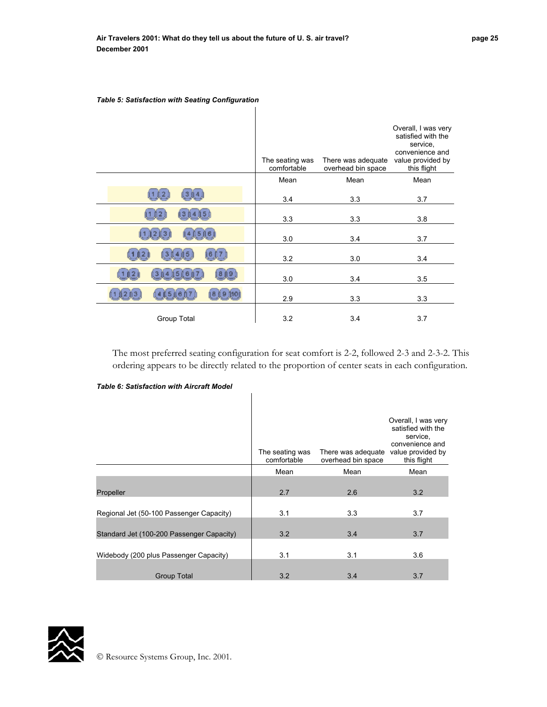|             | The seating was<br>comfortable | There was adequate<br>overhead bin space | Overall, I was very<br>satisfied with the<br>service,<br>convenience and<br>value provided by<br>this flight |
|-------------|--------------------------------|------------------------------------------|--------------------------------------------------------------------------------------------------------------|
|             | Mean                           | Mean                                     | Mean                                                                                                         |
|             | 3.4                            | 3.3                                      | 3.7                                                                                                          |
|             | 3.3                            | 3.3                                      | 3.8                                                                                                          |
|             | 3.0                            | 3.4                                      | 3.7                                                                                                          |
|             | 3.2                            | 3.0                                      | 3.4                                                                                                          |
| 51<br>8     | 3.0                            | 3.4                                      | 3.5                                                                                                          |
|             | 2.9                            | 3.3                                      | 3.3                                                                                                          |
| Group Total | 3.2                            | 3.4                                      | 3.7                                                                                                          |

 $\mathbf{I}$ 

#### *Table 5: Satisfaction with Seating Configuration*

The most preferred seating configuration for seat comfort is 2-2, followed 2-3 and 2-3-2. This ordering appears to be directly related to the proportion of center seats in each configuration.

*Table 6: Satisfaction with Aircraft Model* 

|                                           | The seating was<br>comfortable | There was adequate<br>overhead bin space | Overall, I was very<br>satisfied with the<br>service,<br>convenience and<br>value provided by<br>this flight |
|-------------------------------------------|--------------------------------|------------------------------------------|--------------------------------------------------------------------------------------------------------------|
|                                           | Mean                           | Mean                                     | Mean                                                                                                         |
| Propeller                                 | 2.7                            | 2.6                                      | 3.2                                                                                                          |
| Regional Jet (50-100 Passenger Capacity)  | 3.1                            | 3.3                                      | 3.7                                                                                                          |
| Standard Jet (100-200 Passenger Capacity) | 3.2                            | 3.4                                      | 3.7                                                                                                          |
| Widebody (200 plus Passenger Capacity)    | 3.1                            | 3.1                                      | 3.6                                                                                                          |
| <b>Group Total</b>                        | 3.2                            | 3.4                                      | 3.7                                                                                                          |

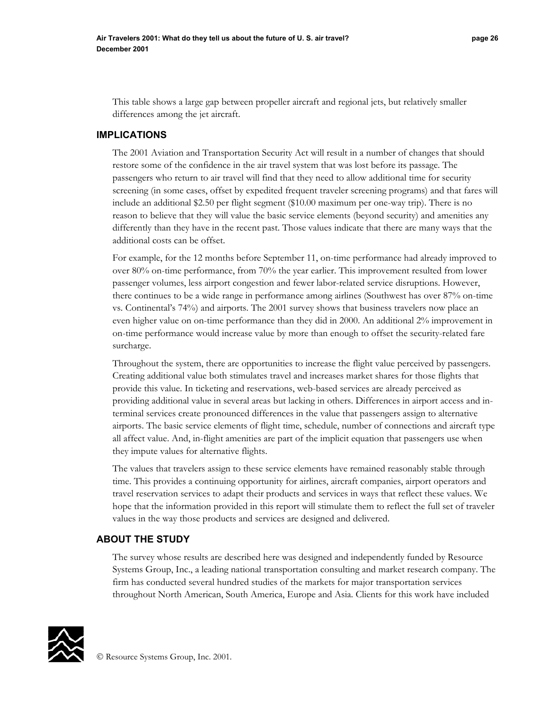This table shows a large gap between propeller aircraft and regional jets, but relatively smaller differences among the jet aircraft.

## **IMPLICATIONS**

The 2001 Aviation and Transportation Security Act will result in a number of changes that should restore some of the confidence in the air travel system that was lost before its passage. The passengers who return to air travel will find that they need to allow additional time for security screening (in some cases, offset by expedited frequent traveler screening programs) and that fares will include an additional \$2.50 per flight segment (\$10.00 maximum per one-way trip). There is no reason to believe that they will value the basic service elements (beyond security) and amenities any differently than they have in the recent past. Those values indicate that there are many ways that the additional costs can be offset.

For example, for the 12 months before September 11, on-time performance had already improved to over 80% on-time performance, from 70% the year earlier. This improvement resulted from lower passenger volumes, less airport congestion and fewer labor-related service disruptions. However, there continues to be a wide range in performance among airlines (Southwest has over 87% on-time vs. Continental's 74%) and airports. The 2001 survey shows that business travelers now place an even higher value on on-time performance than they did in 2000. An additional 2% improvement in on-time performance would increase value by more than enough to offset the security-related fare surcharge.

Throughout the system, there are opportunities to increase the flight value perceived by passengers. Creating additional value both stimulates travel and increases market shares for those flights that provide this value. In ticketing and reservations, web-based services are already perceived as providing additional value in several areas but lacking in others. Differences in airport access and interminal services create pronounced differences in the value that passengers assign to alternative airports. The basic service elements of flight time, schedule, number of connections and aircraft type all affect value. And, in-flight amenities are part of the implicit equation that passengers use when they impute values for alternative flights.

The values that travelers assign to these service elements have remained reasonably stable through time. This provides a continuing opportunity for airlines, aircraft companies, airport operators and travel reservation services to adapt their products and services in ways that reflect these values. We hope that the information provided in this report will stimulate them to reflect the full set of traveler values in the way those products and services are designed and delivered.

# **ABOUT THE STUDY**

The survey whose results are described here was designed and independently funded by Resource Systems Group, Inc., a leading national transportation consulting and market research company. The firm has conducted several hundred studies of the markets for major transportation services throughout North American, South America, Europe and Asia. Clients for this work have included

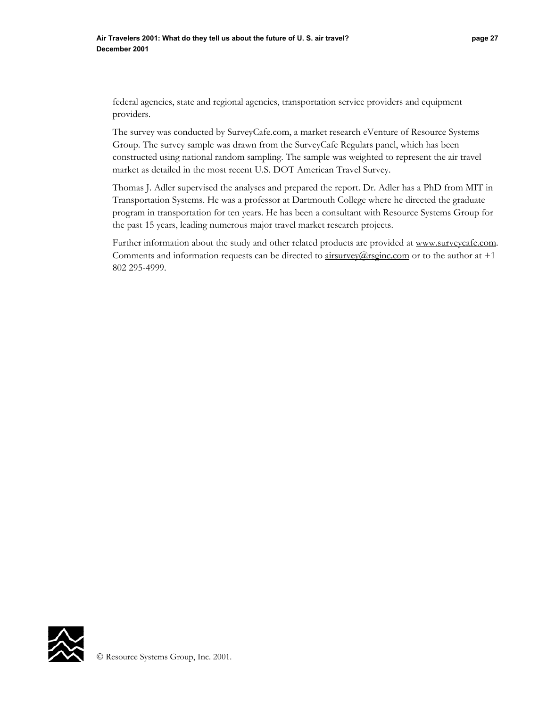federal agencies, state and regional agencies, transportation service providers and equipment providers.

The survey was conducted by SurveyCafe.com, a market research eVenture of Resource Systems Group. The survey sample was drawn from the SurveyCafe Regulars panel, which has been constructed using national random sampling. The sample was weighted to represent the air travel market as detailed in the most recent U.S. DOT American Travel Survey.

Thomas J. Adler supervised the analyses and prepared the report. Dr. Adler has a PhD from MIT in Transportation Systems. He was a professor at Dartmouth College where he directed the graduate program in transportation for ten years. He has been a consultant with Resource Systems Group for the past 15 years, leading numerous major travel market research projects.

Further information about the study and other related products are provided at www.surveycafe.com. Comments and information requests can be directed to  $\frac{airsurvev}{a}$ rsginc.com or to the author at +1 802 295-4999.

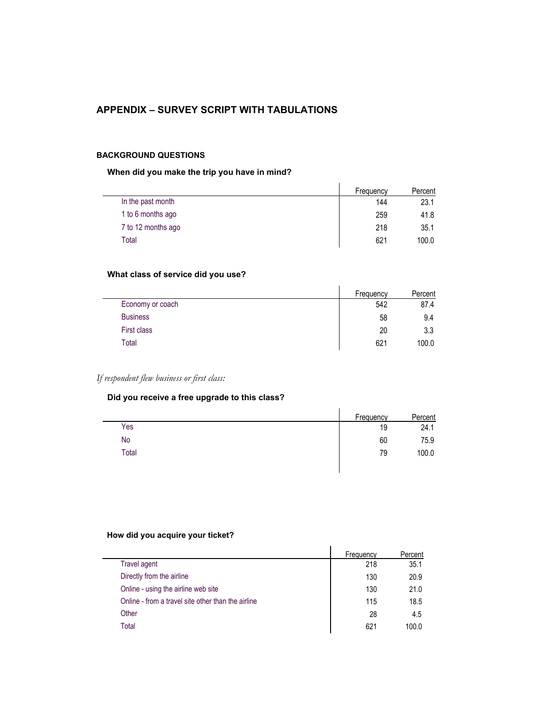# **APPENDIX – SURVEY SCRIPT WITH TABULATIONS**

#### **BACKGROUND QUESTIONS**

## **When did you make the trip you have in mind?**

|                    | Frequency | Percent |
|--------------------|-----------|---------|
| In the past month  | 144       | 23.1    |
| 1 to 6 months ago  | 259       | 41.8    |
| 7 to 12 months ago | 218       | 35.1    |
| Total              | 621       | 100.0   |

# **What class of service did you use?**

|                  | Frequency | Percent |
|------------------|-----------|---------|
| Economy or coach | 542       | 87.4    |
| <b>Business</b>  | 58        | 9.4     |
| First class      | 20        | 3.3     |
| Total            | 621       | 100.0   |

 $\mathbf{r}$ 

# *If respondent flew business or first class:*

## **Did you receive a free upgrade to this class?**

|       | Frequency | Percent |
|-------|-----------|---------|
| Yes   | 19        | 24.1    |
| No    | 60        | 75.9    |
| Total | 79        | 100.0   |
|       |           |         |

## **How did you acquire your ticket?**

|                                                    | <b>Frequency</b> | Percent |
|----------------------------------------------------|------------------|---------|
| Travel agent                                       | 218              | 35.1    |
| Directly from the airline                          | 130              | 20.9    |
| Online - using the airline web site                | 130              | 21.0    |
| Online - from a travel site other than the airline | 115              | 18.5    |
| Other                                              | 28               | 4.5     |
| Total                                              | 621              | 100.0   |
|                                                    |                  |         |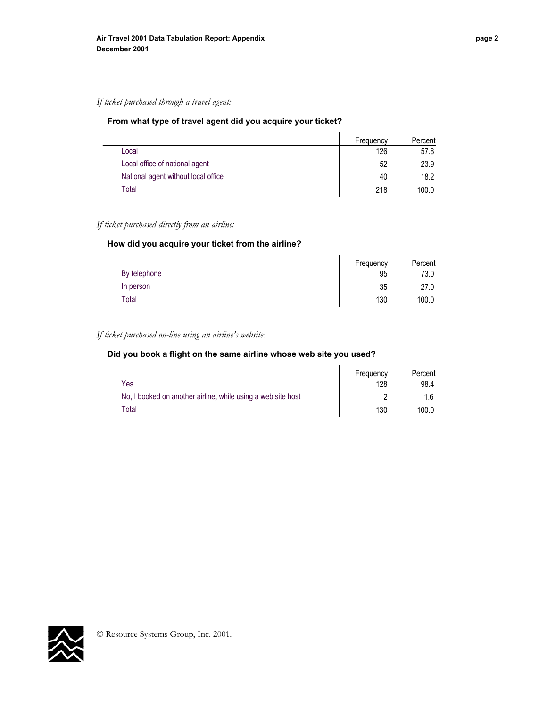## *If ticket purchased through a travel agent:*

## **From what type of travel agent did you acquire your ticket?**

|                                     | Frequency | Percent |
|-------------------------------------|-----------|---------|
| Local                               | 126       | 57.8    |
| Local office of national agent      | 52        | 23.9    |
| National agent without local office | 40        | 18.2    |
| Total                               | 218       | 100.0   |

## *If ticket purchased directly from an airline:*

#### **How did you acquire your ticket from the airline?**

|              | Frequency | Percent |
|--------------|-----------|---------|
| By telephone | 95        | 73.0    |
| In person    | 35        | 27.0    |
| $\tau$ otal  | 130       | 100.0   |

## *If ticket purchased on-line using an airline's website:*

## **Did you book a flight on the same airline whose web site you used?**

|                                                              | Frequency | Percent |
|--------------------------------------------------------------|-----------|---------|
| Yes                                                          | 128       | 98.4    |
| No, I booked on another airline, while using a web site host |           |         |
| Total                                                        | 130       | 100.0   |

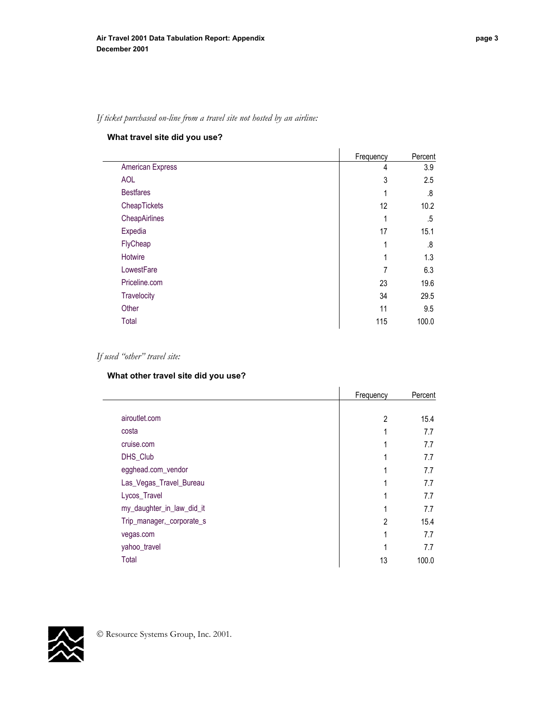#### **What travel site did you use?**

|                    | Frequency | Percent |
|--------------------|-----------|---------|
| American Express   | 4         | 3.9     |
| <b>AOL</b>         | 3         | 2.5     |
| <b>Bestfares</b>   | 1         | .8      |
| CheapTickets       | 12        | 10.2    |
| CheapAirlines      | 1         | .5      |
| Expedia            | 17        | 15.1    |
| FlyCheap           | 1         | .8      |
| Hotwire            | 1         | 1.3     |
| LowestFare         | 7         | 6.3     |
| Priceline.com      | 23        | 19.6    |
| <b>Travelocity</b> | 34        | 29.5    |
| Other              | 11        | 9.5     |
| Total              | 115       | 100.0   |

## *If used "other" travel site:*

## **What other travel site did you use?**

|                           | Frequency      | Percent |
|---------------------------|----------------|---------|
|                           |                |         |
| airoutlet.com             | $\overline{2}$ | 15.4    |
| costa                     | 1              | 7.7     |
| cruise.com                | 1              | 7.7     |
| DHS_Club                  | 1              | 7.7     |
| egghead.com_vendor        | 1              | 7.7     |
| Las_Vegas_Travel_Bureau   | 1              | 7.7     |
| Lycos_Travel              | 1              | 7.7     |
| my_daughter_in_law_did_it | 1              | 7.7     |
| Trip_manager,_corporate_s | 2              | 15.4    |
| vegas.com                 | 1              | 7.7     |
| yahoo_travel              | 1              | 7.7     |
| Total                     | 13             | 100.0   |

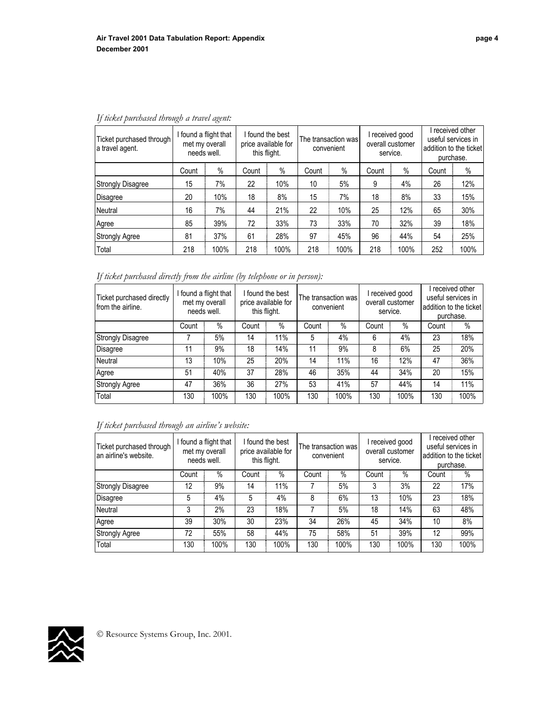| Ticket purchased through<br>a travel agent. | found a flight that<br>met my overall<br>needs well. |      | I found the best<br>price available for<br>this flight. |      | The transaction was<br>convenient |      | I received good<br>overall customer<br>service. |      | I received other<br>useful services in<br>addition to the ticket<br>purchase. |      |
|---------------------------------------------|------------------------------------------------------|------|---------------------------------------------------------|------|-----------------------------------|------|-------------------------------------------------|------|-------------------------------------------------------------------------------|------|
|                                             | Count                                                | $\%$ | Count                                                   | %    | Count                             | $\%$ | Count                                           | $\%$ | Count                                                                         | %    |
| <b>Strongly Disagree</b>                    | 15                                                   | 7%   | 22                                                      | 10%  | 10                                | 5%   | 9                                               | 4%   | 26                                                                            | 12%  |
| Disagree                                    | 20                                                   | 10%  | 18                                                      | 8%   | 15                                | 7%   | 18                                              | 8%   | 33                                                                            | 15%  |
| Neutral                                     | 16                                                   | 7%   | 44                                                      | 21%  | 22                                | 10%  | 25                                              | 12%  | 65                                                                            | 30%  |
| Agree                                       | 85                                                   | 39%  | 72                                                      | 33%  | 73                                | 33%  | 70                                              | 32%  | 39                                                                            | 18%  |
| <b>Strongly Agree</b>                       | 81                                                   | 37%  | 61                                                      | 28%  | 97                                | 45%  | 96                                              | 44%  | 54                                                                            | 25%  |
| Total                                       | 218                                                  | 100% | 218                                                     | 100% | 218                               | 100% | 218                                             | 100% | 252                                                                           | 100% |

# *If ticket purchased through a travel agent:*

*If ticket purchased directly from the airline (by telephone or in person):* 

| Ticket purchased directly<br>from the airline. | found a flight that<br>met my overall<br>needs well. |      | I found the best<br>price available for<br>this flight. |      | The transaction was<br>convenient |      | I received good<br>overall customer<br>service. |      | received other<br>useful services in<br>addition to the ticket<br>purchase. |      |
|------------------------------------------------|------------------------------------------------------|------|---------------------------------------------------------|------|-----------------------------------|------|-------------------------------------------------|------|-----------------------------------------------------------------------------|------|
|                                                | Count                                                | %    | Count                                                   | $\%$ | Count                             | $\%$ | Count                                           | $\%$ | Count                                                                       | $\%$ |
| <b>Strongly Disagree</b>                       |                                                      | 5%   | 14                                                      | 11%  | 5                                 | 4%   | 6                                               | 4%   | 23                                                                          | 18%  |
| Disagree                                       | 11                                                   | 9%   | 18                                                      | 14%  | 11                                | 9%   | 8                                               | 6%   | 25                                                                          | 20%  |
| <b>Neutral</b>                                 | 13                                                   | 10%  | 25                                                      | 20%  | 14                                | 11%  | 16                                              | 12%  | 47                                                                          | 36%  |
| Agree                                          | 51                                                   | 40%  | 37                                                      | 28%  | 46                                | 35%  | 44                                              | 34%  | 20                                                                          | 15%  |
| <b>Strongly Agree</b>                          | 47                                                   | 36%  | 36                                                      | 27%  | 53                                | 41%  | 57                                              | 44%  | 14                                                                          | 11%  |
| Total                                          | 130                                                  | 100% | 130                                                     | 100% | 130                               | 100% | 130                                             | 100% | 130                                                                         | 100% |

# *If ticket purchased through an airline's website:*

| Ticket purchased through<br>an airline's website. | found a flight that<br>met my overall<br>needs well. |      | I found the best<br>price available for<br>this flight. |      | The transaction was l<br>convenient<br>service. |      | I received good<br>overall customer |      | purchase. | received other<br>useful services in<br>addition to the ticket |
|---------------------------------------------------|------------------------------------------------------|------|---------------------------------------------------------|------|-------------------------------------------------|------|-------------------------------------|------|-----------|----------------------------------------------------------------|
|                                                   | Count                                                | %    | Count                                                   | $\%$ | Count                                           | %    | Count                               | $\%$ | Count     | $\%$                                                           |
| <b>Strongly Disagree</b>                          | 12                                                   | 9%   | 14                                                      | 11%  |                                                 | 5%   | 3                                   | 3%   | 22        | 17%                                                            |
| <b>Disagree</b>                                   | 5                                                    | 4%   | 5                                                       | 4%   | 8                                               | 6%   | 13                                  | 10%  | 23        | 18%                                                            |
| <b>Neutral</b>                                    | 3                                                    | 2%   | 23                                                      | 18%  |                                                 | 5%   | 18                                  | 14%  | 63        | 48%                                                            |
| Agree                                             | 39                                                   | 30%  | 30                                                      | 23%  | 34                                              | 26%  | 45                                  | 34%  | 10        | 8%                                                             |
| <b>Strongly Agree</b>                             | 72                                                   | 55%  | 58                                                      | 44%  | 75                                              | 58%  | 51                                  | 39%  | 12        | 99%                                                            |
| Total                                             | 130                                                  | 100% | 130                                                     | 100% | 130                                             | 100% | 130                                 | 100% | 130       | 100%                                                           |

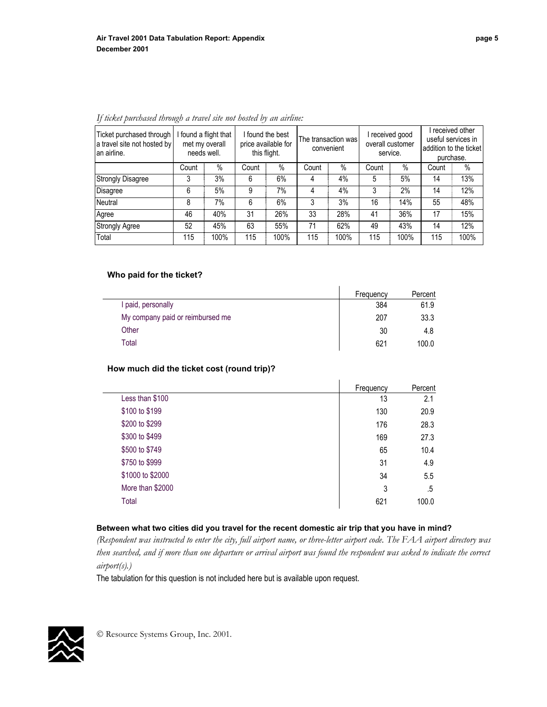| Ticket purchased through<br>a travel site not hosted by<br>an airline. | found a flight that<br>met my overall<br>needs well. |      | I found the best<br>price available for<br>this flight. |      | The transaction was<br>convenient |      | received good<br>overall customer<br>service. |      | received other<br>useful services in<br>addition to the ticket<br>purchase. |        |
|------------------------------------------------------------------------|------------------------------------------------------|------|---------------------------------------------------------|------|-----------------------------------|------|-----------------------------------------------|------|-----------------------------------------------------------------------------|--------|
|                                                                        | Count                                                | %    | Count                                                   | $\%$ | Count                             | $\%$ | Count                                         | $\%$ | Count                                                                       | $\%$   |
| <b>Strongly Disagree</b>                                               | 3                                                    | 3%   | 6                                                       | 6%   | 4                                 | 4%   | 5                                             | 5%   | 14                                                                          | 13%    |
| <b>Disagree</b>                                                        | 6                                                    | 5%   | 9                                                       | 7%   | 4                                 | 4%   | 3                                             | 2%   | 14                                                                          | $12\%$ |
| Neutral                                                                | 8                                                    | 7%   | 6                                                       | 6%   | 3                                 | 3%   | 16                                            | 14%  | 55                                                                          | 48%    |
| Agree                                                                  | 46                                                   | 40%  | 31                                                      | 26%  | 33                                | 28%  | 41                                            | 36%  | 17                                                                          | 15%    |
| <b>Strongly Agree</b>                                                  | 52                                                   | 45%  | 63                                                      | 55%  | 71                                | 62%  | 49                                            | 43%  | 14                                                                          | 12%    |
| Total                                                                  | 115                                                  | 100% | 115                                                     | 100% | 115                               | 100% | 115                                           | 100% | 115                                                                         | 100%   |

*If ticket purchased through a travel site not hosted by an airline:* 

#### **Who paid for the ticket?**

|                                  | Frequency | Percent |
|----------------------------------|-----------|---------|
| I paid, personally               | 384       | 61.9    |
| My company paid or reimbursed me | 207       | 33.3    |
| Other                            | 30        | 4.8     |
| Total                            | 621       | 100.0   |

## **How much did the ticket cost (round trip)?**

|                  | Frequency | Percent |
|------------------|-----------|---------|
| Less than \$100  | 13        | 2.1     |
| \$100 to \$199   | 130       | 20.9    |
| \$200 to \$299   | 176       | 28.3    |
| \$300 to \$499   | 169       | 27.3    |
| \$500 to \$749   | 65        | 10.4    |
| \$750 to \$999   | 31        | 4.9     |
| \$1000 to \$2000 | 34        | 5.5     |
| More than \$2000 | 3         | .5      |
| Total            | 621       | 100.0   |

#### **Between what two cities did you travel for the recent domestic air trip that you have in mind?**

*(Respondent was instructed to enter the city, full airport name, or three-letter airport code. The FAA airport directory was then searched, and if more than one departure or arrival airport was found the respondent was asked to indicate the correct airport(s).)*

The tabulation for this question is not included here but is available upon request.

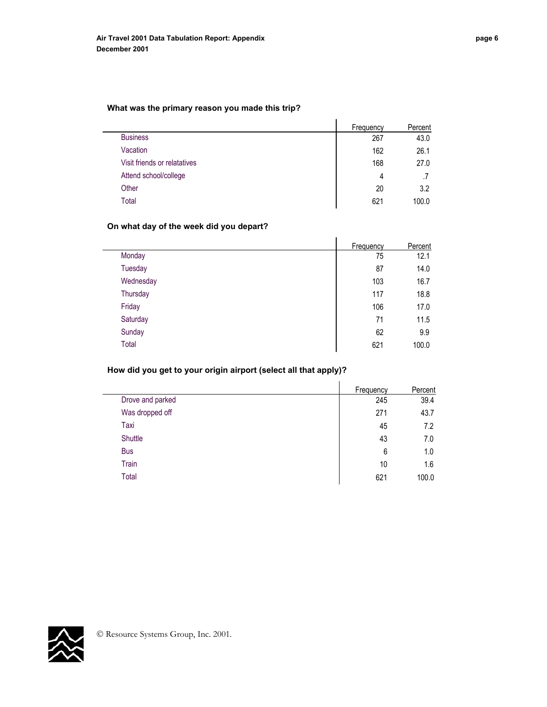## **What was the primary reason you made this trip?**

|                              | Frequency | Percent |
|------------------------------|-----------|---------|
| <b>Business</b>              | 267       | 43.0    |
| Vacation                     | 162       | 26.1    |
| Visit friends or relatatives | 168       | 27.0    |
| Attend school/college        | 4         |         |
| Other                        | 20        | 3.2     |
| Total                        | 621       | 100.0   |

 $\overline{1}$ 

## **On what day of the week did you depart?**

|           | Frequency | Percent |
|-----------|-----------|---------|
| Monday    | 75        | 12.1    |
| Tuesday   | 87        | 14.0    |
| Wednesday | 103       | 16.7    |
| Thursday  | 117       | 18.8    |
| Friday    | 106       | 17.0    |
| Saturday  | 71        | 11.5    |
| Sunday    | 62        | 9.9     |
| Total     | 621       | 100.0   |

# **How did you get to your origin airport (select all that apply)?**

|                  | <b>Frequency</b> | Percent |
|------------------|------------------|---------|
| Drove and parked | 245              | 39.4    |
| Was dropped off  | 271              | 43.7    |
| Taxi             | 45               | 7.2     |
| Shuttle          | 43               | 7.0     |
| <b>Bus</b>       | 6                | 1.0     |
| Train            | 10               | 1.6     |
| Total            | 621              | 100.0   |

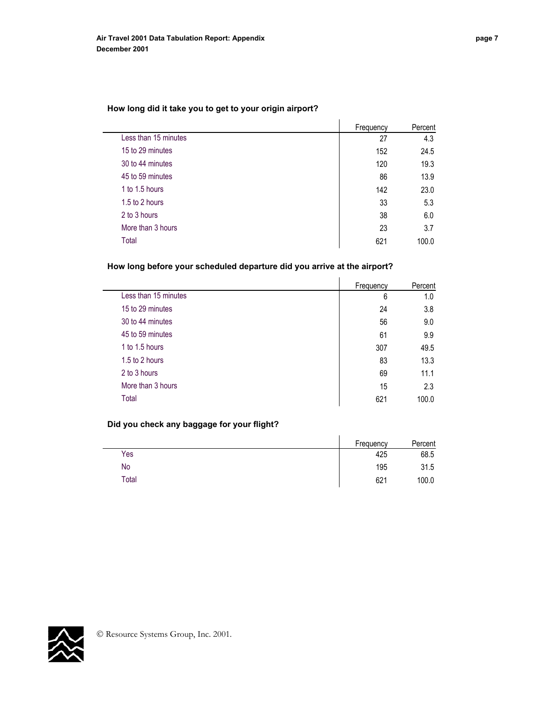## **How long did it take you to get to your origin airport?**

|                      | Frequency | Percent |
|----------------------|-----------|---------|
| Less than 15 minutes | 27        | 4.3     |
| 15 to 29 minutes     | 152       | 24.5    |
| 30 to 44 minutes     | 120       | 19.3    |
| 45 to 59 minutes     | 86        | 13.9    |
| 1 to 1.5 hours       | 142       | 23.0    |
| 1.5 to 2 hours       | 33        | 5.3     |
| 2 to 3 hours         | 38        | 6.0     |
| More than 3 hours    | 23        | 3.7     |
| Total                | 621       | 100.0   |

## **How long before your scheduled departure did you arrive at the airport?**

|                      | Frequency | Percent |
|----------------------|-----------|---------|
| Less than 15 minutes | 6         | 1.0     |
| 15 to 29 minutes     | 24        | 3.8     |
| 30 to 44 minutes     | 56        | 9.0     |
| 45 to 59 minutes     | 61        | 9.9     |
| 1 to 1.5 hours       | 307       | 49.5    |
| 1.5 to 2 hours       | 83        | 13.3    |
| 2 to 3 hours         | 69        | 11.1    |
| More than 3 hours    | 15        | 2.3     |
| Total                | 621       | 100.0   |

## **Did you check any baggage for your flight?**

|       | Frequency | Percent |
|-------|-----------|---------|
| Yes   | 425       | 68.5    |
| No    | 195       | 31.5    |
| Total | 621       | 100.0   |

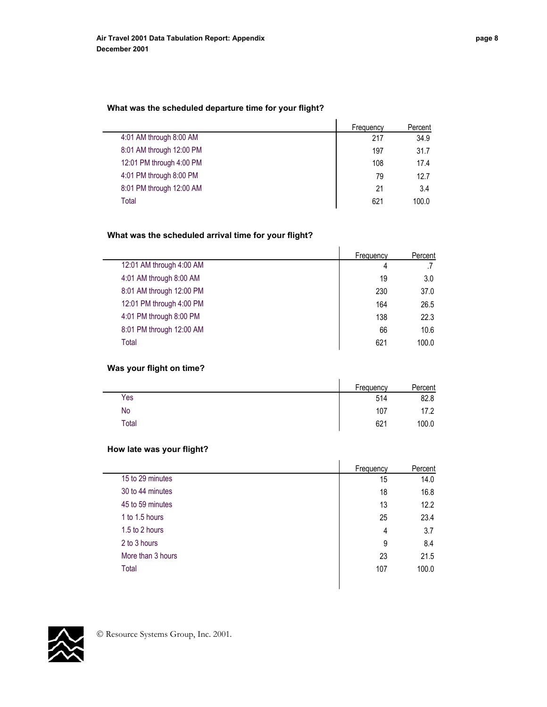#### **What was the scheduled departure time for your flight?**

| Frequency | Percent |
|-----------|---------|
| 217       | 34.9    |
| 197       | 31.7    |
| 108       | 17.4    |
| 79        | 12.7    |
| 21        | 3.4     |
| 621       | 100.0   |
|           |         |

# **What was the scheduled arrival time for your flight?**

|                          | Frequency | Percent |
|--------------------------|-----------|---------|
| 12:01 AM through 4:00 AM | 4         |         |
| 4:01 AM through 8:00 AM  | 19        | 3.0     |
| 8:01 AM through 12:00 PM | 230       | 37.0    |
| 12:01 PM through 4:00 PM | 164       | 26.5    |
| 4:01 PM through 8:00 PM  | 138       | 22.3    |
| 8:01 PM through 12:00 AM | 66        | 10.6    |
| Total                    | 621       | 100.0   |

## **Was your flight on time?**

|       | Frequency | Percent |
|-------|-----------|---------|
| Yes   | 514       | 82.8    |
| No    | 107       | 17.2    |
| Total | 621       | 100.0   |

## **How late was your flight?**

|                   | Frequency | Percent |
|-------------------|-----------|---------|
| 15 to 29 minutes  | 15        | 14.0    |
| 30 to 44 minutes  | 18        | 16.8    |
| 45 to 59 minutes  | 13        | 12.2    |
| 1 to 1.5 hours    | 25        | 23.4    |
| 1.5 to 2 hours    | 4         | 3.7     |
| 2 to 3 hours      | 9         | 8.4     |
| More than 3 hours | 23        | 21.5    |
| Total             | 107       | 100.0   |

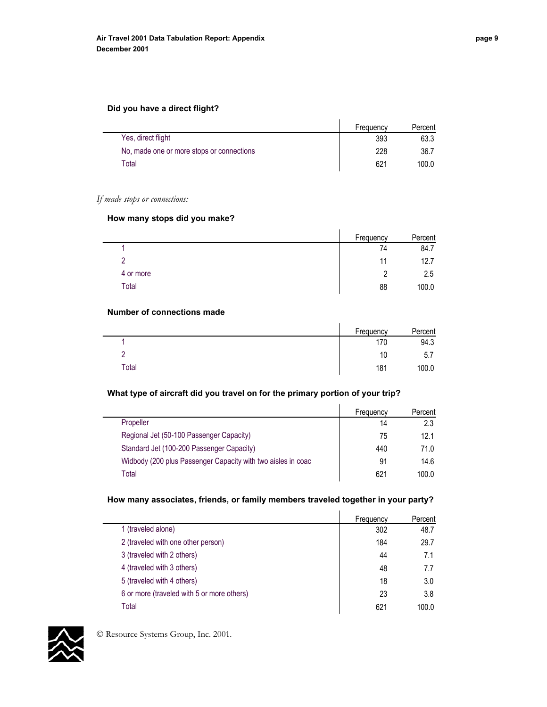#### **Did you have a direct flight?**

|                                           | Frequency | Percent |
|-------------------------------------------|-----------|---------|
| Yes, direct flight                        | 393       | 63.3    |
| No, made one or more stops or connections | 228       | 36.7    |
| Total                                     | 621       | 100.0   |

## *If made stops or connections:*

L.

#### **How many stops did you make?**

|           | Frequency | Percent |
|-----------|-----------|---------|
|           | 74        | 84.7    |
| ာ         | 11        | 12.7    |
| 4 or more |           | 2.5     |
| Total     | 88        | 100.0   |

#### **Number of connections made**

|       | Frequency | Percent |
|-------|-----------|---------|
|       | 170       | 94.3    |
| -     | 10        | 5.7     |
| Total | 181       | 100.0   |

## **What type of aircraft did you travel on for the primary portion of your trip?**

|                                                              | Frequency | Percent |
|--------------------------------------------------------------|-----------|---------|
| Propeller                                                    | 14        | 2.3     |
| Regional Jet (50-100 Passenger Capacity)                     | 75        | 12.1    |
| Standard Jet (100-200 Passenger Capacity)                    | 440       | 71.0    |
| Widbody (200 plus Passenger Capacity with two aisles in coac | 91        | 14.6    |
| Total                                                        | 621       | 100.0   |

## **How many associates, friends, or family members traveled together in your party?**

|                                            | Frequency | Percent |
|--------------------------------------------|-----------|---------|
| 1 (traveled alone)                         | 302       | 48.7    |
| 2 (traveled with one other person)         | 184       | 29.7    |
| 3 (traveled with 2 others)                 | 44        | 7.1     |
| 4 (traveled with 3 others)                 | 48        | 7.7     |
| 5 (traveled with 4 others)                 | 18        | 3.0     |
| 6 or more (traveled with 5 or more others) | 23        | 3.8     |
| Total                                      | 621       | 100.0   |

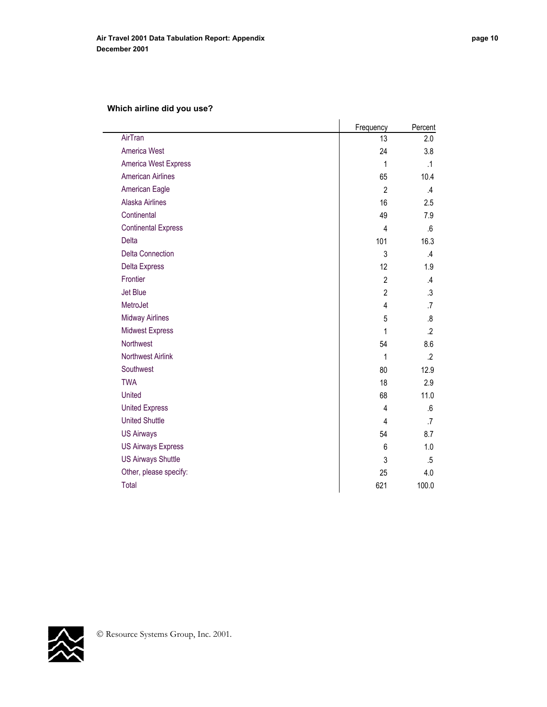# **Which airline did you use?**

|                            | Frequency      | Percent          |
|----------------------------|----------------|------------------|
| AirTran                    | 13             | 2.0              |
| <b>America West</b>        | 24             | 3.8              |
| America West Express       | 1              | $\cdot$ 1        |
| <b>American Airlines</b>   | 65             | 10.4             |
| <b>American Eagle</b>      | $\overline{2}$ | $\mathcal{A}$    |
| <b>Alaska Airlines</b>     | 16             | 2.5              |
| Continental                | 49             | 7.9              |
| <b>Continental Express</b> | 4              | .6               |
| <b>Delta</b>               | 101            | 16.3             |
| <b>Delta Connection</b>    | 3              | .4               |
| <b>Delta Express</b>       | 12             | 1.9              |
| Frontier                   | $\overline{2}$ | .4               |
| <b>Jet Blue</b>            | $\overline{2}$ | $\cdot$          |
| MetroJet                   | 4              | .7               |
| <b>Midway Airlines</b>     | 5              | .8               |
| <b>Midwest Express</b>     | 1              | $.2\overline{ }$ |
| Northwest                  | 54             | 8.6              |
| <b>Northwest Airlink</b>   | 1              | $\cdot$          |
| Southwest                  | 80             | 12.9             |
| <b>TWA</b>                 | 18             | 2.9              |
| <b>United</b>              | 68             | 11.0             |
| <b>United Express</b>      | 4              | .6               |
| <b>United Shuttle</b>      | 4              | $\overline{.7}$  |
| <b>US Airways</b>          | 54             | 8.7              |
| <b>US Airways Express</b>  | 6              | 1.0              |
| <b>US Airways Shuttle</b>  | 3              | .5               |
| Other, please specify:     | 25             | 4.0              |
| Total                      | 621            | 100.0            |

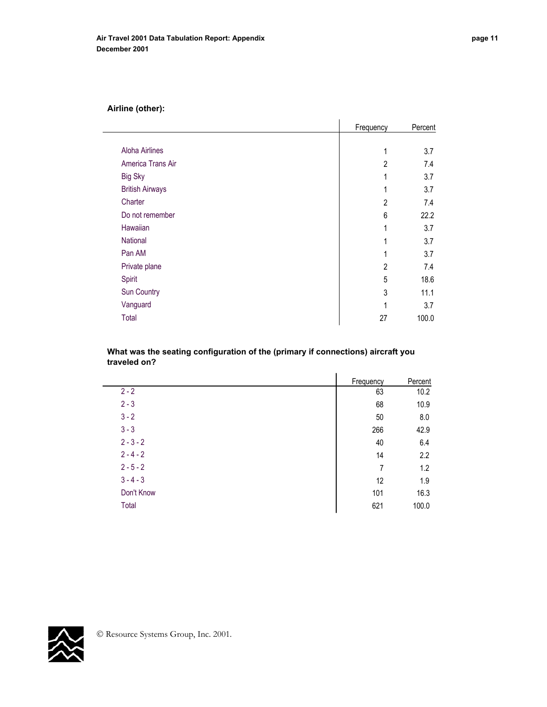|                        | Frequency      | Percent |
|------------------------|----------------|---------|
|                        |                |         |
| <b>Aloha Airlines</b>  | 1              | 3.7     |
| America Trans Air      | $\overline{2}$ | 7.4     |
| <b>Big Sky</b>         | 1              | 3.7     |
| <b>British Airways</b> | 1              | 3.7     |
| Charter                | 2              | 7.4     |
| Do not remember        | 6              | 22.2    |
| Hawaiian               | 1              | 3.7     |
| National               | 1              | 3.7     |
| Pan AM                 | 1              | 3.7     |
| Private plane          | $\overline{c}$ | 7.4     |
| Spirit                 | 5              | 18.6    |
| Sun Country            | 3              | 11.1    |
| Vanguard               | 1              | 3.7     |
| Total                  | 27             | 100.0   |

#### **What was the seating configuration of the (primary if connections) aircraft you traveled on?**

|             | Frequency | Percent |
|-------------|-----------|---------|
| $2 - 2$     | 63        | 10.2    |
| $2 - 3$     | 68        | 10.9    |
| $3 - 2$     | 50        | 8.0     |
| $3 - 3$     | 266       | 42.9    |
| $2 - 3 - 2$ | 40        | 6.4     |
| $2 - 4 - 2$ | 14        | 2.2     |
| $2 - 5 - 2$ | 7         | 1.2     |
| $3 - 4 - 3$ | 12        | 1.9     |
| Don't Know  | 101       | 16.3    |
| Total       | 621       | 100.0   |

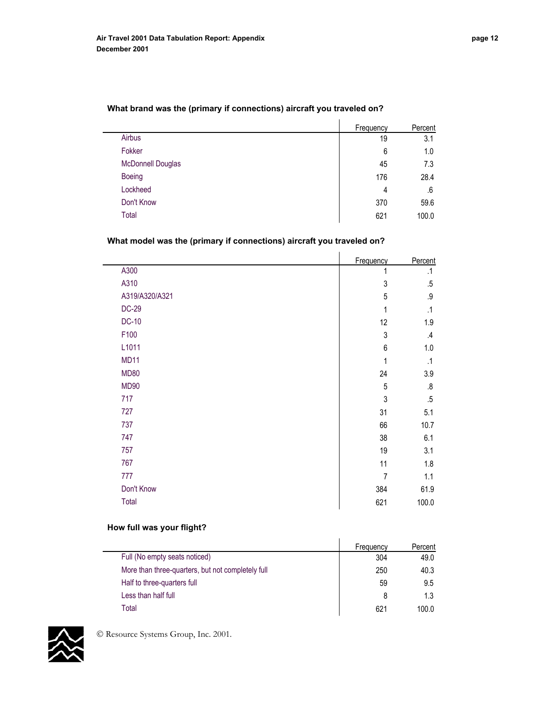|                          | Frequency | Percent |
|--------------------------|-----------|---------|
| Airbus                   | 19        | 3.1     |
| Fokker                   | 6         | 1.0     |
| <b>McDonnell Douglas</b> | 45        | 7.3     |
| <b>Boeing</b>            | 176       | 28.4    |
| Lockheed                 | 4         | .6      |
| Don't Know               | 370       | 59.6    |
| Total                    | 621       | 100.0   |

## **What brand was the (primary if connections) aircraft you traveled on?**

## **What model was the (primary if connections) aircraft you traveled on?**

|                | Frequency      | Percent       |
|----------------|----------------|---------------|
| A300           | 1              | .1            |
| A310           | $\sqrt{3}$     | $.5\,$        |
| A319/A320/A321 | 5              | $.9\,$        |
| <b>DC-29</b>   | 1              | $\cdot$ 1     |
| <b>DC-10</b>   | 12             | 1.9           |
| F100           | $\sqrt{3}$     | $\mathcal{A}$ |
| L1011          | $\,6$          | 1.0           |
| <b>MD11</b>    | 1              | $\cdot$ 1     |
| <b>MD80</b>    | 24             | 3.9           |
| <b>MD90</b>    | 5              | 8.5           |
| 717            | 3              | .5            |
| 727            | 31             | 5.1           |
| 737            | 66             | 10.7          |
| 747            | 38             | 6.1           |
| 757            | 19             | 3.1           |
| 767            | 11             | 1.8           |
| 777            | $\overline{7}$ | 1.1           |
| Don't Know     | 384            | 61.9          |
| Total          | 621            | 100.0         |
|                |                |               |

#### **How full was your flight?**

|                                                   | Frequency | Percent |
|---------------------------------------------------|-----------|---------|
| Full (No empty seats noticed)                     | 304       | 49.0    |
| More than three-quarters, but not completely full | 250       | 40.3    |
| Half to three-quarters full                       | 59        | 9.5     |
| Less than half full                               | 8         | 1.3     |
| Total                                             | 621       | 100.0   |

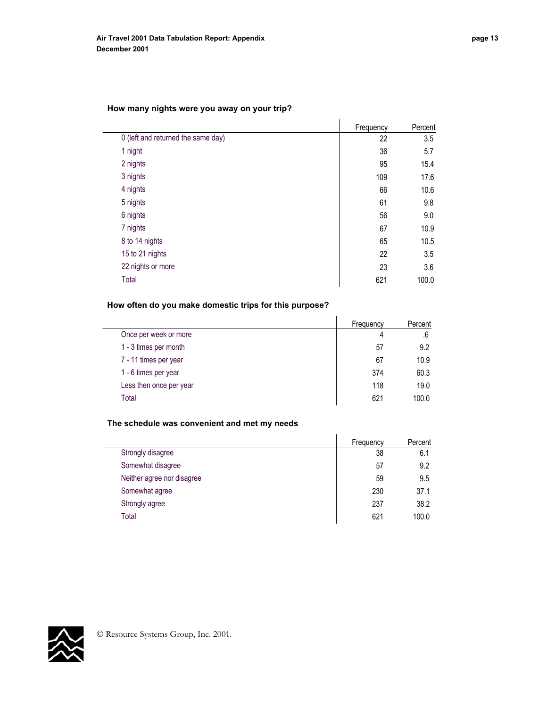## **How many nights were you away on your trip?**

|                                    | Frequency | Percent |
|------------------------------------|-----------|---------|
| 0 (left and returned the same day) | 22        | 3.5     |
| 1 night                            | 36        | 5.7     |
| 2 nights                           | 95        | 15.4    |
| 3 nights                           | 109       | 17.6    |
| 4 nights                           | 66        | 10.6    |
| 5 nights                           | 61        | 9.8     |
| 6 nights                           | 56        | 9.0     |
| 7 nights                           | 67        | 10.9    |
| 8 to 14 nights                     | 65        | 10.5    |
| 15 to 21 nights                    | 22        | 3.5     |
| 22 nights or more                  | 23        | 3.6     |
| Total                              | 621       | 100.0   |

## **How often do you make domestic trips for this purpose?**

|                         | Frequency | Percent |
|-------------------------|-----------|---------|
| Once per week or more   | 4         | .6      |
| 1 - 3 times per month   | 57        | 9.2     |
| 7 - 11 times per year   | 67        | 10.9    |
| 1 - 6 times per year    | 374       | 60.3    |
| Less then once per year | 118       | 19.0    |
| Total                   | 621       | 100.0   |

## **The schedule was convenient and met my needs**

|                            | Frequency | Percent |
|----------------------------|-----------|---------|
| Strongly disagree          | 38        | 6.1     |
| Somewhat disagree          | 57        | 9.2     |
| Neither agree nor disagree | 59        | 9.5     |
| Somewhat agree             | 230       | 37.1    |
| Strongly agree             | 237       | 38.2    |
| Total                      | 621       | 100.0   |

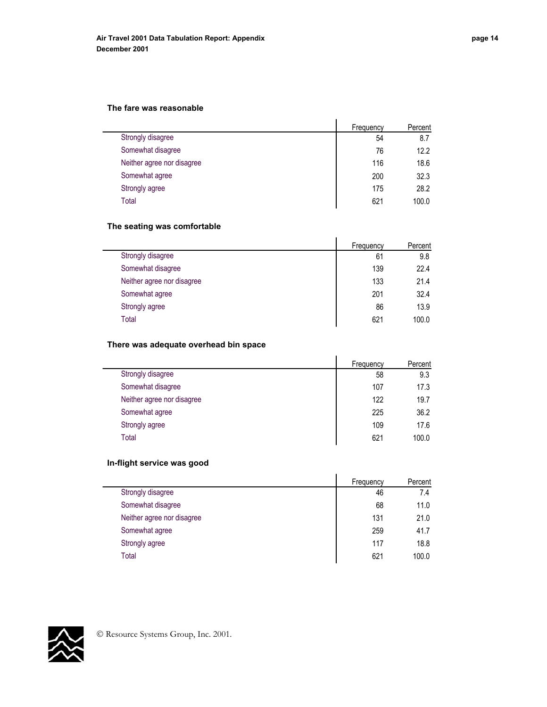#### **The fare was reasonable**

|                            | Frequency | Percent |
|----------------------------|-----------|---------|
| Strongly disagree          | 54        | 8.7     |
| Somewhat disagree          | 76        | 12.2    |
| Neither agree nor disagree | 116       | 18.6    |
| Somewhat agree             | 200       | 32.3    |
| Strongly agree             | 175       | 28.2    |
| Total                      | 621       | 100.0   |

## **The seating was comfortable**

|                            | Frequency | Percent |
|----------------------------|-----------|---------|
| Strongly disagree          | 61        | 9.8     |
| Somewhat disagree          | 139       | 22.4    |
| Neither agree nor disagree | 133       | 21.4    |
| Somewhat agree             | 201       | 32.4    |
| Strongly agree             | 86        | 13.9    |
| Total                      | 621       | 100.0   |

l,

## **There was adequate overhead bin space**

|                            | Frequency | Percent |
|----------------------------|-----------|---------|
| Strongly disagree          | 58        | 9.3     |
| Somewhat disagree          | 107       | 17.3    |
| Neither agree nor disagree | 122       | 19.7    |
| Somewhat agree             | 225       | 36.2    |
| Strongly agree             | 109       | 17.6    |
| Total                      | 621       | 100.0   |

## **In-flight service was good**

|                            | Frequency | Percent |
|----------------------------|-----------|---------|
| Strongly disagree          | 46        | 7.4     |
| Somewhat disagree          | 68        | 11.0    |
| Neither agree nor disagree | 131       | 21.0    |
| Somewhat agree             | 259       | 41.7    |
| Strongly agree             | 117       | 18.8    |
| Total                      | 621       | 100.0   |

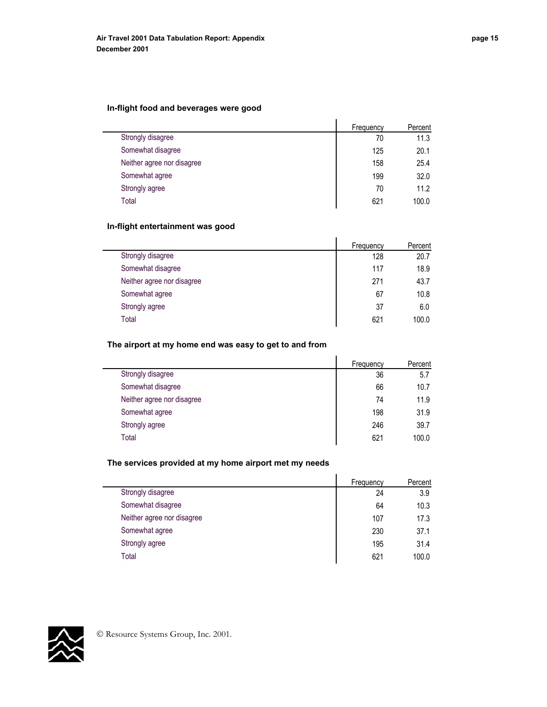#### **In-flight food and beverages were good**

|                            | Frequency | Percent |
|----------------------------|-----------|---------|
| Strongly disagree          | 70        | 11.3    |
| Somewhat disagree          | 125       | 20.1    |
| Neither agree nor disagree | 158       | 25.4    |
| Somewhat agree             | 199       | 32.0    |
| Strongly agree             | 70        | 11.2    |
| Total                      | 621       | 100.0   |

## **In-flight entertainment was good**

|                            | Frequency | Percent |
|----------------------------|-----------|---------|
| Strongly disagree          | 128       | 20.7    |
| Somewhat disagree          | 117       | 18.9    |
| Neither agree nor disagree | 271       | 43.7    |
| Somewhat agree             | 67        | 10.8    |
| Strongly agree             | 37        | 6.0     |
| Total                      | 621       | 100.0   |

## **The airport at my home end was easy to get to and from**

|                            | Frequency | Percent |
|----------------------------|-----------|---------|
| Strongly disagree          | 36        | 5.7     |
| Somewhat disagree          | 66        | 10.7    |
| Neither agree nor disagree | 74        | 11.9    |
| Somewhat agree             | 198       | 31.9    |
| Strongly agree             | 246       | 39.7    |
| Total                      | 621       | 100.0   |

## **The services provided at my home airport met my needs**

|                            | Frequency | Percent |
|----------------------------|-----------|---------|
| Strongly disagree          | 24        | 3.9     |
| Somewhat disagree          | 64        | 10.3    |
| Neither agree nor disagree | 107       | 17.3    |
| Somewhat agree             | 230       | 37.1    |
| Strongly agree             | 195       | 31.4    |
| Total                      | 621       | 100.0   |

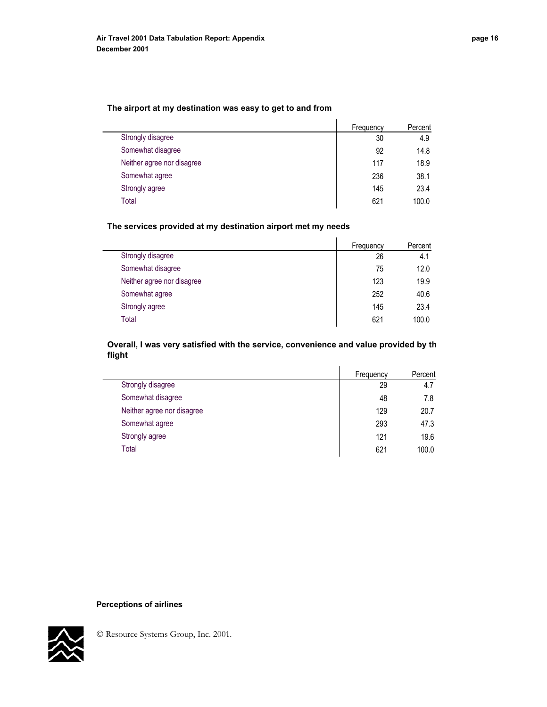#### **The airport at my destination was easy to get to and from**

|                            | Frequency | Percent |
|----------------------------|-----------|---------|
| Strongly disagree          | 30        | 4.9     |
| Somewhat disagree          | 92        | 14.8    |
| Neither agree nor disagree | 117       | 18.9    |
| Somewhat agree             | 236       | 38.1    |
| Strongly agree             | 145       | 23.4    |
| Total                      | 621       | 100.0   |

## **The services provided at my destination airport met my needs**

|                            | Frequency | Percent |
|----------------------------|-----------|---------|
| Strongly disagree          | 26        | 4.1     |
| Somewhat disagree          | 75        | 12.0    |
| Neither agree nor disagree | 123       | 19.9    |
| Somewhat agree             | 252       | 40.6    |
| Strongly agree             | 145       | 23.4    |
| Total                      | 621       | 100.0   |
|                            |           |         |

#### **Overall, I was very satisfied with the service, convenience and value provided by th flight**

|                            | Frequency | Percent |
|----------------------------|-----------|---------|
| Strongly disagree          | 29        | 4.7     |
| Somewhat disagree          | 48        | 7.8     |
| Neither agree nor disagree | 129       | 20.7    |
| Somewhat agree             | 293       | 47.3    |
| Strongly agree             | 121       | 19.6    |
| Total                      | 621       | 100.0   |
|                            |           |         |

#### **Perceptions of airlines**

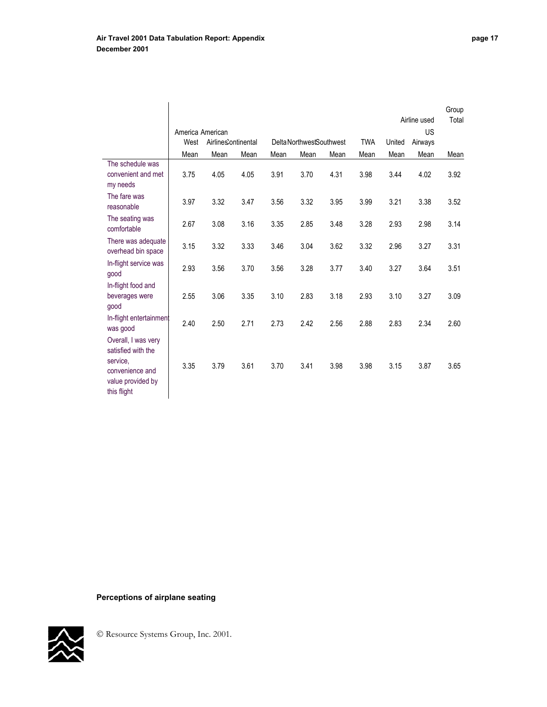|                                                                                                              | America American |                     |      |      |                          |      |            |        | Airline used<br><b>US</b> | Group<br>Total |
|--------------------------------------------------------------------------------------------------------------|------------------|---------------------|------|------|--------------------------|------|------------|--------|---------------------------|----------------|
|                                                                                                              | West             | Airlines'ontinental |      |      | Delta NorthwestSouthwest |      | <b>TWA</b> | United | Airways                   |                |
|                                                                                                              | Mean             | Mean                | Mean | Mean | Mean                     | Mean | Mean       | Mean   | Mean                      | Mean           |
| The schedule was<br>convenient and met<br>my needs                                                           | 3.75             | 4.05                | 4.05 | 3.91 | 3.70                     | 4.31 | 3.98       | 3.44   | 4.02                      | 3.92           |
| The fare was<br>reasonable                                                                                   | 3.97             | 3.32                | 3.47 | 3.56 | 3.32                     | 3.95 | 3.99       | 3.21   | 3.38                      | 3.52           |
| The seating was<br>comfortable                                                                               | 2.67             | 3.08                | 3.16 | 3.35 | 2.85                     | 3.48 | 3.28       | 2.93   | 2.98                      | 3.14           |
| There was adequate<br>overhead bin space                                                                     | 3.15             | 3.32                | 3.33 | 3.46 | 3.04                     | 3.62 | 3.32       | 2.96   | 3.27                      | 3.31           |
| In-flight service was<br>good                                                                                | 2.93             | 3.56                | 3.70 | 3.56 | 3.28                     | 3.77 | 3.40       | 3.27   | 3.64                      | 3.51           |
| In-flight food and<br>beverages were<br>good                                                                 | 2.55             | 3.06                | 3.35 | 3.10 | 2.83                     | 3.18 | 2.93       | 3.10   | 3.27                      | 3.09           |
| In-flight entertainment<br>was good                                                                          | 2.40             | 2.50                | 2.71 | 2.73 | 2.42                     | 2.56 | 2.88       | 2.83   | 2.34                      | 2.60           |
| Overall, I was very<br>satisfied with the<br>service,<br>convenience and<br>value provided by<br>this flight | 3.35             | 3.79                | 3.61 | 3.70 | 3.41                     | 3.98 | 3.98       | 3.15   | 3.87                      | 3.65           |

# **Perceptions of airplane seating**

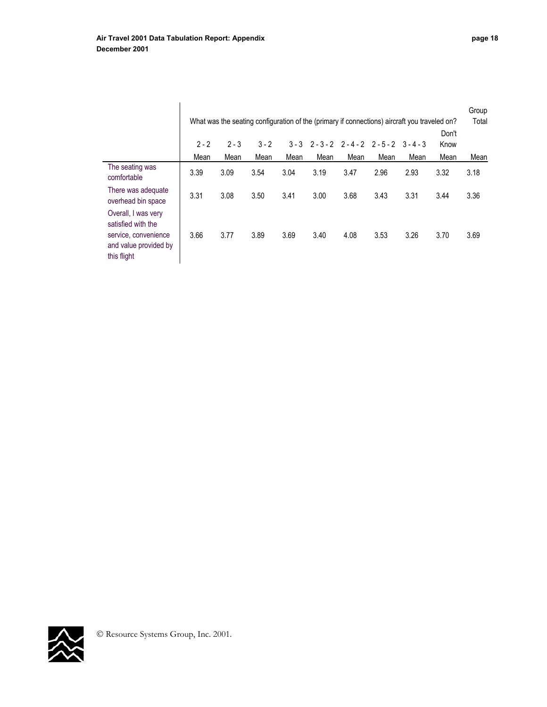|                                                                                                           |                 |                 |                 |                 |      |                                             |      | What was the seating configuration of the (primary if connections) aircraft you traveled on? |                       | Group<br>Total |
|-----------------------------------------------------------------------------------------------------------|-----------------|-----------------|-----------------|-----------------|------|---------------------------------------------|------|----------------------------------------------------------------------------------------------|-----------------------|----------------|
|                                                                                                           | $2 - 2$<br>Mean | $2 - 3$<br>Mean | $3 - 2$<br>Mean | $3 - 3$<br>Mean | Mean | $2 - 3 - 2$ $2 - 4 - 2$ $2 - 5 - 2$<br>Mean | Mean | $3 - 4 - 3$<br>Mean                                                                          | Don't<br>Know<br>Mean | Mean           |
| The seating was<br>comfortable                                                                            | 3.39            | 3.09            | 3.54            | 3.04            | 3.19 | 3.47                                        | 2.96 | 2.93                                                                                         | 3.32                  | 3.18           |
| There was adequate<br>overhead bin space                                                                  | 3.31            | 3.08            | 3.50            | 3.41            | 3.00 | 3.68                                        | 3.43 | 3.31                                                                                         | 3.44                  | 3.36           |
| Overall, I was very<br>satisfied with the<br>service, convenience<br>and value provided by<br>this flight | 3.66            | 3.77            | 3.89            | 3.69            | 3.40 | 4.08                                        | 3.53 | 3.26                                                                                         | 3.70                  | 3.69           |

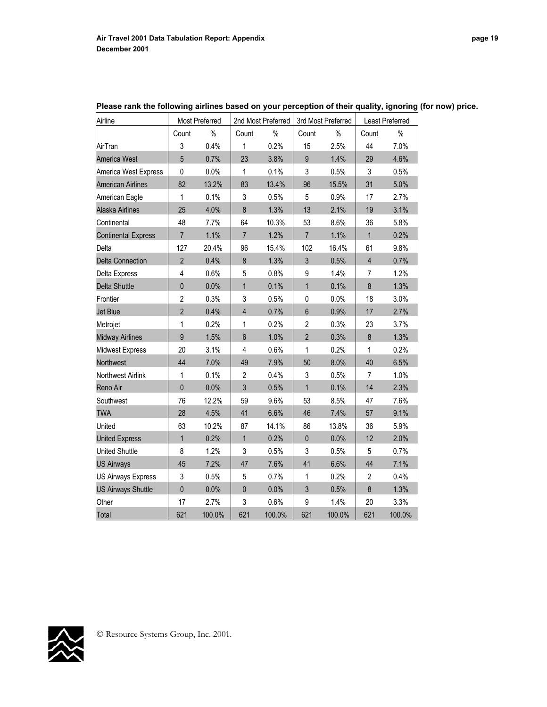| Airline                     |                | Most Preferred |                | 2nd Most Preferred |                | 3rd Most Preferred<br>Least Preferred |                |        |
|-----------------------------|----------------|----------------|----------------|--------------------|----------------|---------------------------------------|----------------|--------|
|                             | Count          | $\%$           | Count          | $\%$               | Count          | $\%$                                  | Count          | $\%$   |
| AirTran                     | 3              | 0.4%           | 1              | 0.2%               | 15             | 2.5%                                  | 44             | 7.0%   |
| America West                | 5              | 0.7%           | 23             | 3.8%               | $\overline{9}$ | 1.4%                                  | 29             | 4.6%   |
| <b>America West Express</b> | $\pmb{0}$      | 0.0%           | $\mathbf{1}$   | 0.1%               | 3              | 0.5%                                  | 3              | 0.5%   |
| American Airlines           | 82             | 13.2%          | 83             | 13.4%              | 96             | 15.5%                                 | 31             | 5.0%   |
| American Eagle              | 1              | 0.1%           | 3              | 0.5%               | 5              | 0.9%                                  | 17             | 2.7%   |
| Alaska Airlines             | 25             | 4.0%           | 8              | 1.3%               | 13             | 2.1%                                  | 19             | 3.1%   |
| Continental                 | 48             | 7.7%           | 64             | 10.3%              | 53             | 8.6%                                  | 36             | 5.8%   |
| <b>Continental Express</b>  | $\overline{7}$ | 1.1%           | $\overline{7}$ | 1.2%               | $\overline{7}$ | 1.1%                                  | $\mathbf{1}$   | 0.2%   |
| Delta                       | 127            | 20.4%          | 96             | 15.4%              | 102            | 16.4%                                 | 61             | 9.8%   |
| <b>Delta Connection</b>     | $\overline{2}$ | 0.4%           | $\bf 8$        | 1.3%               | $\mathfrak{S}$ | 0.5%                                  | $\overline{4}$ | 0.7%   |
| Delta Express               | $\overline{4}$ | 0.6%           | 5              | 0.8%               | 9              | 1.4%                                  | $\overline{7}$ | 1.2%   |
| Delta Shuttle               | $\mathbf{0}$   | 0.0%           | $\overline{1}$ | 0.1%               | $\mathbf{1}$   | 0.1%                                  | $\bf 8$        | 1.3%   |
| Frontier                    | $\overline{2}$ | 0.3%           | 3              | 0.5%               | $\pmb{0}$      | 0.0%                                  | 18             | 3.0%   |
| Jet Blue                    | $\overline{2}$ | 0.4%           | $\overline{4}$ | 0.7%               | $6\phantom{.}$ | 0.9%                                  | 17             | 2.7%   |
| Metrojet                    | 1              | 0.2%           | 1              | 0.2%               | $\overline{2}$ | 0.3%                                  | 23             | 3.7%   |
| <b>Midway Airlines</b>      | $\overline{9}$ | 1.5%           | $6\phantom{a}$ | 1.0%               | $\overline{2}$ | 0.3%                                  | $\bf 8$        | 1.3%   |
| <b>Midwest Express</b>      | 20             | 3.1%           | 4              | 0.6%               | 1              | 0.2%                                  | $\mathbf{1}$   | 0.2%   |
| Northwest                   | 44             | 7.0%           | 49             | 7.9%               | 50             | 8.0%                                  | 40             | 6.5%   |
| Northwest Airlink           | 1              | 0.1%           | $\overline{2}$ | 0.4%               | 3              | 0.5%                                  | 7              | 1.0%   |
| Reno Air                    | $\mathbf 0$    | 0.0%           | 3              | 0.5%               | $\mathbf{1}$   | 0.1%                                  | 14             | 2.3%   |
| Southwest                   | 76             | 12.2%          | 59             | 9.6%               | 53             | 8.5%                                  | 47             | 7.6%   |
| <b>TWA</b>                  | 28             | 4.5%           | 41             | 6.6%               | 46             | 7.4%                                  | 57             | 9.1%   |
| United                      | 63             | 10.2%          | 87             | 14.1%              | 86             | 13.8%                                 | 36             | 5.9%   |
| <b>United Express</b>       | $\mathbf{1}$   | 0.2%           | $\overline{1}$ | 0.2%               | $\mathbf 0$    | 0.0%                                  | 12             | 2.0%   |
| United Shuttle              | 8              | 1.2%           | 3              | 0.5%               | 3              | 0.5%                                  | 5              | 0.7%   |
| <b>US Airways</b>           | 45             | 7.2%           | 47             | 7.6%               | 41             | 6.6%                                  | 44             | 7.1%   |
| US Airways Express          | 3              | 0.5%           | 5              | 0.7%               | 1              | 0.2%                                  | $\mathbf{2}$   | 0.4%   |
| <b>US Airways Shuttle</b>   | $\mathbf 0$    | 0.0%           | $\mathbf 0$    | 0.0%               | 3              | 0.5%                                  | 8              | 1.3%   |
| Other                       | 17             | 2.7%           | 3              | 0.6%               | 9              | 1.4%                                  | 20             | 3.3%   |
| Total                       | 621            | 100.0%         | 621            | 100.0%             | 621            | 100.0%                                | 621            | 100.0% |

**Please rank the following airlines based on your perception of their quality, ignoring (for now) price.** 

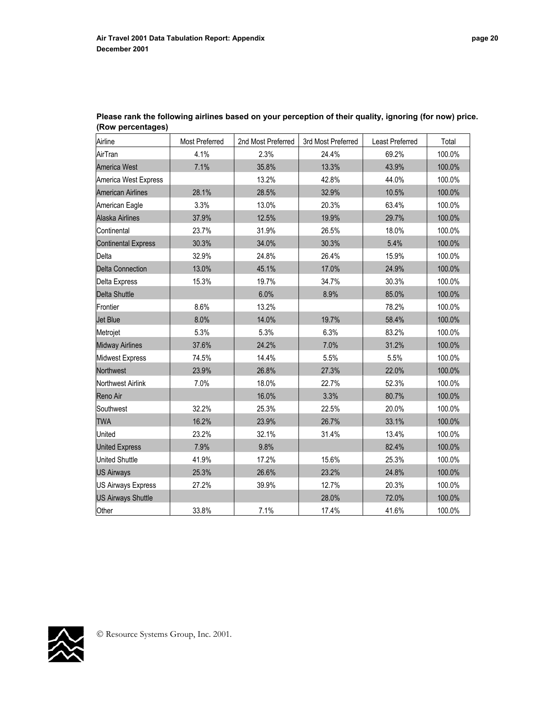| Airline                    | Most Preferred | 2nd Most Preferred | 3rd Most Preferred | Least Preferred | Total  |
|----------------------------|----------------|--------------------|--------------------|-----------------|--------|
| AirTran                    | 4.1%           | 2.3%               | 24.4%              | 69.2%           | 100.0% |
| <b>America West</b>        | 7.1%           | 35.8%              | 13.3%              | 43.9%           | 100.0% |
| America West Express       |                | 13.2%              | 42.8%              | 44.0%           | 100.0% |
| <b>American Airlines</b>   | 28.1%          | 28.5%              | 32.9%              | 10.5%           | 100.0% |
| American Eagle             | 3.3%           | 13.0%              | 20.3%              | 63.4%           | 100.0% |
| Alaska Airlines            | 37.9%          | 12.5%              | 19.9%              | 29.7%           | 100.0% |
| Continental                | 23.7%          | 31.9%              | 26.5%              | 18.0%           | 100.0% |
| <b>Continental Express</b> | 30.3%          | 34.0%              | 30.3%              | 5.4%            | 100.0% |
| Delta                      | 32.9%          | 24.8%              | 26.4%              | 15.9%           | 100.0% |
| <b>Delta Connection</b>    | 13.0%          | 45.1%              | 17.0%              | 24.9%           | 100.0% |
| Delta Express              | 15.3%          | 19.7%              | 34.7%              | 30.3%           | 100.0% |
| <b>Delta Shuttle</b>       |                | 6.0%               | 8.9%               | 85.0%           | 100.0% |
| Frontier                   | 8.6%           | 13.2%              |                    | 78.2%           | 100.0% |
| <b>Jet Blue</b>            | 8.0%           | 14.0%              | 19.7%              | 58.4%           | 100.0% |
| Metrojet                   | 5.3%           | 5.3%               | 6.3%               | 83.2%           | 100.0% |
| <b>Midway Airlines</b>     | 37.6%          | 24.2%              | 7.0%               | 31.2%           | 100.0% |
| Midwest Express            | 74.5%          | 14.4%              | 5.5%               | 5.5%            | 100.0% |
| Northwest                  | 23.9%          | 26.8%              | 27.3%              | 22.0%           | 100.0% |
| Northwest Airlink          | 7.0%           | 18.0%              | 22.7%              | 52.3%           | 100.0% |
| Reno Air                   |                | 16.0%              | 3.3%               | 80.7%           | 100.0% |
| Southwest                  | 32.2%          | 25.3%              | 22.5%              | 20.0%           | 100.0% |
| <b>TWA</b>                 | 16.2%          | 23.9%              | 26.7%              | 33.1%           | 100.0% |
| United                     | 23.2%          | 32.1%              | 31.4%              | 13.4%           | 100.0% |
| <b>United Express</b>      | 7.9%           | 9.8%               |                    | 82.4%           | 100.0% |
| <b>United Shuttle</b>      | 41.9%          | 17.2%              | 15.6%              | 25.3%           | 100.0% |
| <b>US Airways</b>          | 25.3%          | 26.6%              | 23.2%              | 24.8%           | 100.0% |
| <b>US Airways Express</b>  | 27.2%          | 39.9%              | 12.7%              | 20.3%           | 100.0% |
| <b>US Airways Shuttle</b>  |                |                    | 28.0%              | 72.0%           | 100.0% |
| Other                      | 33.8%          | 7.1%               | 17.4%              | 41.6%           | 100.0% |

**Please rank the following airlines based on your perception of their quality, ignoring (for now) price. (Row percentages)** 

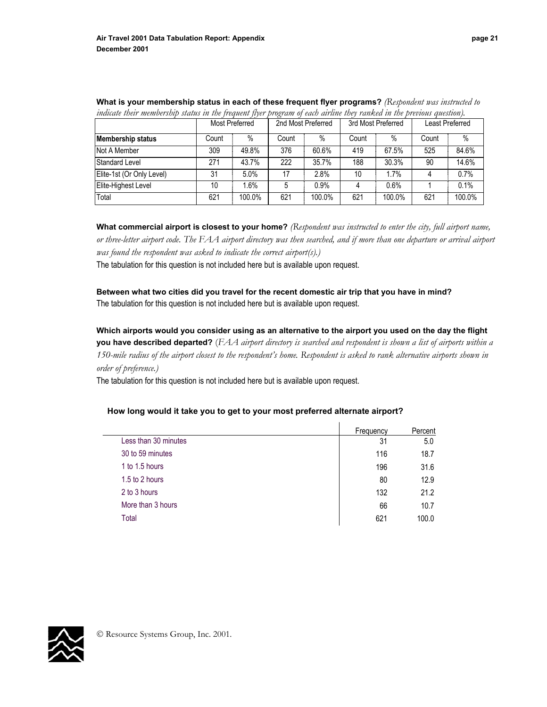|                           |       | Most Preferred |       | 2nd Most Preferred |       | 3rd Most Preferred |       | Least Preferred |
|---------------------------|-------|----------------|-------|--------------------|-------|--------------------|-------|-----------------|
| <b>Membership status</b>  | Count | $\%$           | Count | $\%$               | Count | $\%$               | Count | $\%$            |
| Not A Member              | 309   | 49.8%          | 376   | 60.6%              | 419   | 67.5%              | 525   | 84.6%           |
| Standard Level            | 271   | 43.7%          | 222   | 35.7%              | 188   | 30.3%              | 90    | 14.6%           |
| Elite-1st (Or Only Level) | 31    | 5.0%           | 17    | 2.8%               | 10    | 1.7%               | 4     | 0.7%            |
| Elite-Highest Level       | 10    | 1.6%           | 5     | 0.9%               | 4     | 0.6%               |       | 0.1%            |
| Total                     | 621   | 100.0%         | 621   | 100.0%             | 621   | 100.0%             | 621   | 100.0%          |

**What is your membership status in each of these frequent flyer programs?** *(Respondent was instructed to indicate their membership status in the frequent flyer program of each airline they ranked in the previous question).* 

**What commercial airport is closest to your home?** *(Respondent was instructed to enter the city, full airport name, or three-letter airport code. The FAA airport directory was then searched, and if more than one departure or arrival airport was found the respondent was asked to indicate the correct airport(s).)* 

The tabulation for this question is not included here but is available upon request.

**Between what two cities did you travel for the recent domestic air trip that you have in mind?** The tabulation for this question is not included here but is available upon request.

**Which airports would you consider using as an alternative to the airport you used on the day the flight you have described departed?** (*FAA airport directory is searched and respondent is shown a list of airports within a 150-mile radius of the airport closest to the respondent's home. Respondent is asked to rank alternative airports shown in order of preference.)* 

The tabulation for this question is not included here but is available upon request.

#### **How long would it take you to get to your most preferred alternate airport?**

|                      | Frequency | Percent |
|----------------------|-----------|---------|
| Less than 30 minutes | 31        | 5.0     |
| 30 to 59 minutes     | 116       | 18.7    |
| 1 to 1.5 hours       | 196       | 31.6    |
| 1.5 to 2 hours       | 80        | 12.9    |
| 2 to 3 hours         | 132       | 21.2    |
| More than 3 hours    | 66        | 10.7    |
| Total                | 621       | 100.0   |

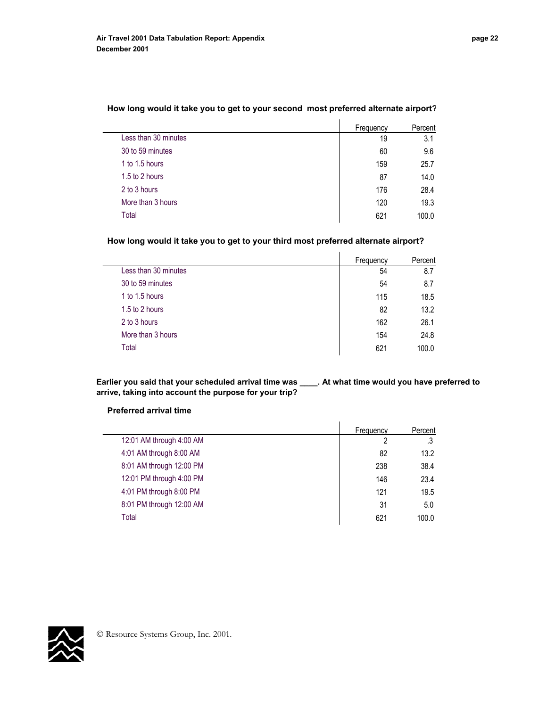|                      | Frequency | Percent |
|----------------------|-----------|---------|
| Less than 30 minutes | 19        | 3.1     |
| 30 to 59 minutes     | 60        | 9.6     |
| 1 to 1.5 hours       | 159       | 25.7    |
| 1.5 to 2 hours       | 87        | 14.0    |
| 2 to 3 hours         | 176       | 28.4    |
| More than 3 hours    | 120       | 19.3    |
| Total                | 621       | 100.0   |

## **How long would it take you to get to your second most preferred alternate airport?**

#### **How long would it take you to get to your third most preferred alternate airport?**

|                      | Frequency | Percent |
|----------------------|-----------|---------|
| Less than 30 minutes | 54        | 8.7     |
| 30 to 59 minutes     | 54        | 8.7     |
| 1 to 1.5 hours       | 115       | 18.5    |
| 1.5 to 2 hours       | 82        | 13.2    |
| 2 to 3 hours         | 162       | 26.1    |
| More than 3 hours    | 154       | 24.8    |
| Total                | 621       | 100.0   |

**Earlier you said that your scheduled arrival time was \_\_\_\_. At what time would you have preferred to arrive, taking into account the purpose for your trip?** 

#### **Preferred arrival time**

|                          | Frequency | Percent |
|--------------------------|-----------|---------|
| 12:01 AM through 4:00 AM | າ         | .3      |
| 4:01 AM through 8:00 AM  | 82        | 13.2    |
| 8:01 AM through 12:00 PM | 238       | 38.4    |
| 12:01 PM through 4:00 PM | 146       | 23.4    |
| 4:01 PM through 8:00 PM  | 121       | 19.5    |
| 8:01 PM through 12:00 AM | 31        | 5.0     |
| Total                    | 621       | 100.0   |

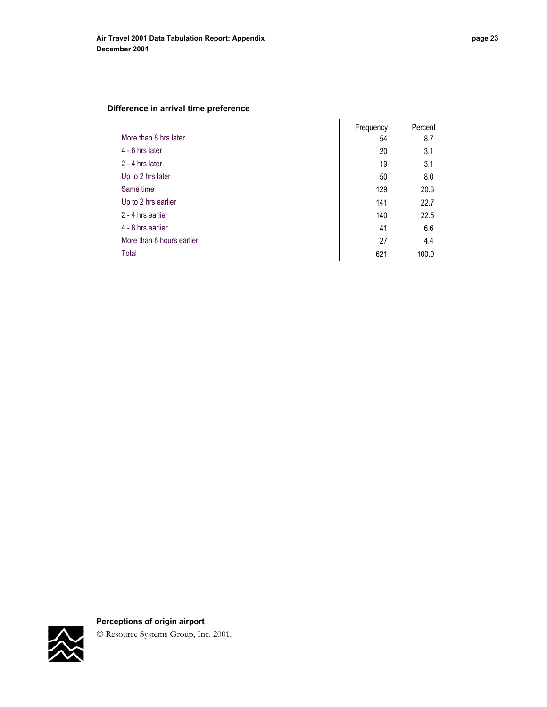# **Difference in arrival time preference**

|                           | Frequency | Percent |
|---------------------------|-----------|---------|
| More than 8 hrs later     | 54        | 8.7     |
| 4 - 8 hrs later           | 20        | 3.1     |
| 2 - 4 hrs later           | 19        | 3.1     |
| Up to 2 hrs later         | 50        | 8.0     |
| Same time                 | 129       | 20.8    |
| Up to 2 hrs earlier       | 141       | 22.7    |
| 2 - 4 hrs earlier         | 140       | 22.5    |
| 4 - 8 hrs earlier         | 41        | 6.6     |
| More than 8 hours earlier | 27        | 4.4     |
| Total                     | 621       | 100.0   |



# **Perceptions of origin airport**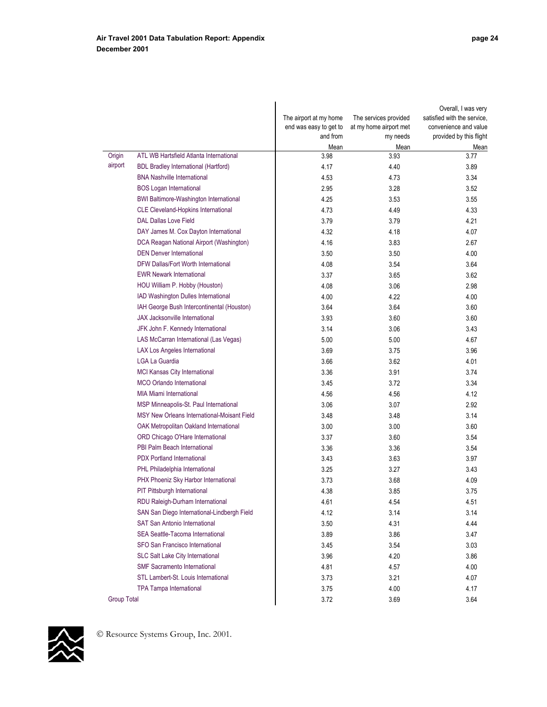$\overline{\phantom{a}}$ 

|             |                                                    | The airport at my home<br>end was easy to get to<br>and from | The services provided<br>at my home airport met<br>my needs | Overall, I was very<br>satisfied with the service.<br>convenience and value<br>provided by this flight |
|-------------|----------------------------------------------------|--------------------------------------------------------------|-------------------------------------------------------------|--------------------------------------------------------------------------------------------------------|
| Origin      | ATL WB Hartsfield Atlanta International            | Mean<br>3.98                                                 | Mean<br>3.93                                                | Mean<br>3.77                                                                                           |
| airport     | <b>BDL Bradley International (Hartford)</b>        | 4.17                                                         | 4.40                                                        | 3.89                                                                                                   |
|             | <b>BNA Nashville International</b>                 | 4.53                                                         | 4.73                                                        | 3.34                                                                                                   |
|             | <b>BOS Logan International</b>                     | 2.95                                                         | 3.28                                                        | 3.52                                                                                                   |
|             | <b>BWI Baltimore-Washington International</b>      | 4.25                                                         | 3.53                                                        | 3.55                                                                                                   |
|             | <b>CLE Cleveland-Hopkins International</b>         | 4.73                                                         | 4.49                                                        | 4.33                                                                                                   |
|             | <b>DAL Dallas Love Field</b>                       | 3.79                                                         | 3.79                                                        | 4.21                                                                                                   |
|             | DAY James M. Cox Dayton International              | 4.32                                                         | 4.18                                                        | 4.07                                                                                                   |
|             | DCA Reagan National Airport (Washington)           | 4.16                                                         | 3.83                                                        | 2.67                                                                                                   |
|             | <b>DEN Denver International</b>                    | 3.50                                                         | 3.50                                                        | 4.00                                                                                                   |
|             | <b>DFW Dallas/Fort Worth International</b>         | 4.08                                                         | 3.54                                                        | 3.64                                                                                                   |
|             | <b>EWR Newark International</b>                    | 3.37                                                         | 3.65                                                        | 3.62                                                                                                   |
|             | HOU William P. Hobby (Houston)                     | 4.08                                                         | 3.06                                                        | 2.98                                                                                                   |
|             | IAD Washington Dulles International                | 4.00                                                         | 4.22                                                        | 4.00                                                                                                   |
|             | IAH George Bush Intercontinental (Houston)         | 3.64                                                         | 3.64                                                        | 3.60                                                                                                   |
|             | <b>JAX Jacksonville International</b>              | 3.93                                                         | 3.60                                                        | 3.60                                                                                                   |
|             | JFK John F. Kennedy International                  | 3.14                                                         | 3.06                                                        | 3.43                                                                                                   |
|             | LAS McCarran International (Las Vegas)             | 5.00                                                         | 5.00                                                        | 4.67                                                                                                   |
|             | <b>LAX Los Angeles International</b>               | 3.69                                                         | 3.75                                                        | 3.96                                                                                                   |
|             | <b>LGA La Guardia</b>                              | 3.66                                                         | 3.62                                                        | 4.01                                                                                                   |
|             | MCI Kansas City International                      | 3.36                                                         | 3.91                                                        | 3.74                                                                                                   |
|             | <b>MCO Orlando International</b>                   | 3.45                                                         | 3.72                                                        | 3.34                                                                                                   |
|             | <b>MIA Miami International</b>                     | 4.56                                                         | 4.56                                                        | 4.12                                                                                                   |
|             | MSP Minneapolis-St. Paul International             | 3.06                                                         | 3.07                                                        | 2.92                                                                                                   |
|             | <b>MSY New Orleans International-Moisant Field</b> | 3.48                                                         | 3.48                                                        | 3.14                                                                                                   |
|             | OAK Metropolitan Oakland International             | 3.00                                                         | 3.00                                                        | 3.60                                                                                                   |
|             | ORD Chicago O'Hare International                   | 3.37                                                         | 3.60                                                        | 3.54                                                                                                   |
|             | <b>PBI Palm Beach International</b>                | 3.36                                                         | 3.36                                                        | 3.54                                                                                                   |
|             | <b>PDX Portland International</b>                  | 3.43                                                         | 3.63                                                        | 3.97                                                                                                   |
|             | PHL Philadelphia International                     | 3.25                                                         | 3.27                                                        | 3.43                                                                                                   |
|             | PHX Phoeniz Sky Harbor International               | 3.73                                                         | 3.68                                                        | 4.09                                                                                                   |
|             | <b>PIT Pittsburgh International</b>                | 4.38                                                         | 3.85                                                        | 3.75                                                                                                   |
|             | RDU Raleigh-Durham International                   | 4.61                                                         | 4.54                                                        | 4.51                                                                                                   |
|             | SAN San Diego International-Lindbergh Field        | 4.12                                                         | 3.14                                                        | 3.14                                                                                                   |
|             | <b>SAT San Antonio International</b>               | 3.50                                                         | 4.31                                                        | 4.44                                                                                                   |
|             | SEA Seattle-Tacoma International                   | 3.89                                                         | 3.86                                                        | 3.47                                                                                                   |
|             | SFO San Francisco International                    | 3.45                                                         | 3.54                                                        | 3.03                                                                                                   |
|             | <b>SLC Salt Lake City International</b>            | 3.96                                                         | 4.20                                                        | 3.86                                                                                                   |
|             | <b>SMF Sacramento International</b>                | 4.81                                                         | 4.57                                                        | 4.00                                                                                                   |
|             | STL Lambert-St. Louis International                | 3.73                                                         | 3.21                                                        | 4.07                                                                                                   |
|             | <b>TPA Tampa International</b>                     | 3.75                                                         | 4.00                                                        | 4.17                                                                                                   |
| Group Total |                                                    | 3.72                                                         | 3.69                                                        | 3.64                                                                                                   |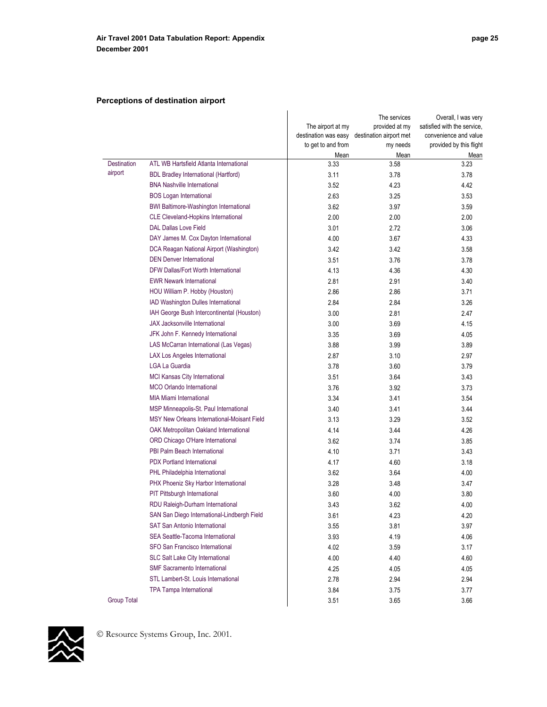# **Perceptions of destination airport**

|                    |                                               | The airport at my<br>destination was easy<br>to get to and from | The services<br>provided at my<br>destination airport met<br>my needs | Overall, I was very<br>satisfied with the service,<br>convenience and value<br>provided by this flight |
|--------------------|-----------------------------------------------|-----------------------------------------------------------------|-----------------------------------------------------------------------|--------------------------------------------------------------------------------------------------------|
|                    |                                               | Mean                                                            | Mean                                                                  | Mean                                                                                                   |
| <b>Destination</b> | ATL WB Hartsfield Atlanta International       | 3.33                                                            | 3.58                                                                  | 3.23                                                                                                   |
| airport            | <b>BDL Bradley International (Hartford)</b>   | 3.11                                                            | 3.78                                                                  | 3.78                                                                                                   |
|                    | <b>BNA Nashville International</b>            | 3.52                                                            | 4.23                                                                  | 4.42                                                                                                   |
|                    | <b>BOS Logan International</b>                | 2.63                                                            | 3.25                                                                  | 3.53                                                                                                   |
|                    | <b>BWI Baltimore-Washington International</b> | 3.62                                                            | 3.97                                                                  | 3.59                                                                                                   |
|                    | CLE Cleveland-Hopkins International           | 2.00                                                            | 2.00                                                                  | 2.00                                                                                                   |
|                    | <b>DAL Dallas Love Field</b>                  | 3.01                                                            | 2.72                                                                  | 3.06                                                                                                   |
|                    | DAY James M. Cox Dayton International         | 4.00                                                            | 3.67                                                                  | 4.33                                                                                                   |
|                    | DCA Reagan National Airport (Washington)      | 3.42                                                            | 3.42                                                                  | 3.58                                                                                                   |
|                    | <b>DEN Denver International</b>               | 3.51                                                            | 3.76                                                                  | 3.78                                                                                                   |
|                    | DFW Dallas/Fort Worth International           | 4.13                                                            | 4.36                                                                  | 4.30                                                                                                   |
|                    | <b>EWR Newark International</b>               | 2.81                                                            | 2.91                                                                  | 3.40                                                                                                   |
|                    | HOU William P. Hobby (Houston)                | 2.86                                                            | 2.86                                                                  | 3.71                                                                                                   |
|                    | IAD Washington Dulles International           | 2.84                                                            | 2.84                                                                  | 3.26                                                                                                   |
|                    | IAH George Bush Intercontinental (Houston)    | 3.00                                                            | 2.81                                                                  | 2.47                                                                                                   |
|                    | JAX Jacksonville International                | 3.00                                                            | 3.69                                                                  | 4.15                                                                                                   |
|                    | JFK John F. Kennedy International             | 3.35                                                            | 3.69                                                                  | 4.05                                                                                                   |
|                    | LAS McCarran International (Las Vegas)        | 3.88                                                            | 3.99                                                                  | 3.89                                                                                                   |
|                    | <b>LAX Los Angeles International</b>          | 2.87                                                            | 3.10                                                                  | 2.97                                                                                                   |
|                    | <b>LGA La Guardia</b>                         | 3.78                                                            | 3.60                                                                  | 3.79                                                                                                   |
|                    | MCI Kansas City International                 | 3.51                                                            | 3.64                                                                  | 3.43                                                                                                   |
|                    | <b>MCO Orlando International</b>              | 3.76                                                            | 3.92                                                                  | 3.73                                                                                                   |
|                    | <b>MIA Miami International</b>                | 3.34                                                            | 3.41                                                                  | 3.54                                                                                                   |
|                    | MSP Minneapolis-St. Paul International        | 3.40                                                            | 3.41                                                                  | 3.44                                                                                                   |
|                    | MSY New Orleans International-Moisant Field   | 3.13                                                            | 3.29                                                                  | 3.52                                                                                                   |
|                    | OAK Metropolitan Oakland International        | 4.14                                                            | 3.44                                                                  | 4.26                                                                                                   |
|                    | ORD Chicago O'Hare International              | 3.62                                                            | 3.74                                                                  | 3.85                                                                                                   |
|                    | PBI Palm Beach International                  | 4.10                                                            | 3.71                                                                  | 3.43                                                                                                   |
|                    | <b>PDX Portland International</b>             | 4.17                                                            | 4.60                                                                  | 3.18                                                                                                   |
|                    | PHL Philadelphia International                | 3.62                                                            | 3.64                                                                  | 4.00                                                                                                   |
|                    | PHX Phoeniz Sky Harbor International          | 3.28                                                            | 3.48                                                                  | 3.47                                                                                                   |
|                    | PIT Pittsburgh International                  | 3.60                                                            | 4.00                                                                  | 3.80                                                                                                   |
|                    | RDU Raleigh-Durham International              | 3.43                                                            | 3.62                                                                  | 4.00                                                                                                   |
|                    | SAN San Diego International-Lindbergh Field   | 3.61                                                            | 4.23                                                                  | 4.20                                                                                                   |
|                    | <b>SAT San Antonio International</b>          | 3.55                                                            | 3.81                                                                  | 3.97                                                                                                   |
|                    | SEA Seattle-Tacoma International              | 3.93                                                            | 4.19                                                                  | 4.06                                                                                                   |
|                    | SFO San Francisco International               | 4.02                                                            | 3.59                                                                  | 3.17                                                                                                   |
|                    | <b>SLC Salt Lake City International</b>       | 4.00                                                            | 4.40                                                                  | 4.60                                                                                                   |
|                    | <b>SMF Sacramento International</b>           | 4.25                                                            | 4.05                                                                  | 4.05                                                                                                   |
|                    | STL Lambert-St. Louis International           | 2.78                                                            | 2.94                                                                  | 2.94                                                                                                   |
|                    | <b>TPA Tampa International</b>                | 3.84                                                            | 3.75                                                                  | 3.77                                                                                                   |
| <b>Group Total</b> |                                               | 3.51                                                            | 3.65                                                                  | 3.66                                                                                                   |
|                    |                                               |                                                                 |                                                                       |                                                                                                        |

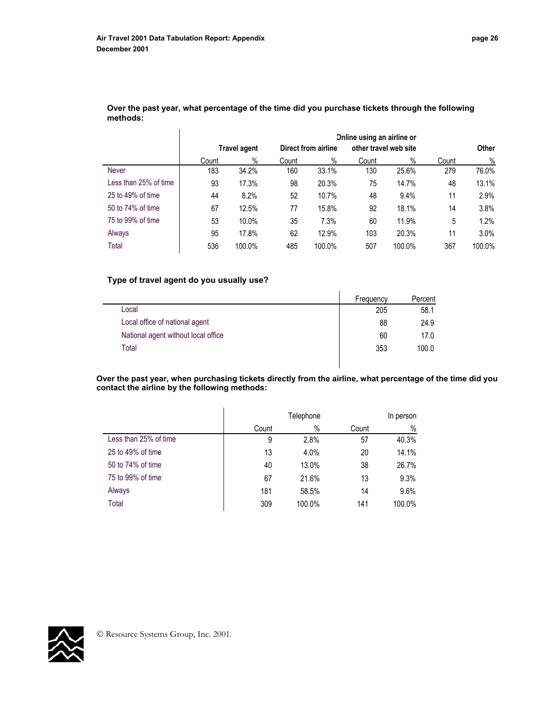|                       |       | Online using an airline or<br>other travel web site<br>Direct from airline<br><b>Travel agent</b> |       |        |       |        | <b>Other</b> |        |
|-----------------------|-------|---------------------------------------------------------------------------------------------------|-------|--------|-------|--------|--------------|--------|
|                       | Count | $\%$                                                                                              | Count | $\%$   | Count | $\%$   | Count        | $\%$   |
| <b>Never</b>          | 183   | 34.2%                                                                                             | 160   | 33.1%  | 130   | 25.6%  | 279          | 76.0%  |
| Less than 25% of time | 93    | 17.3%                                                                                             | 98    | 20.3%  | 75    | 14.7%  | 48           | 13.1%  |
| 25 to 49% of time     | 44    | 8.2%                                                                                              | 52    | 10.7%  | 48    | 9.4%   | 11           | 2.9%   |
| 50 to 74% of time     | 67    | 12.5%                                                                                             | 77    | 15.8%  | 92    | 18.1%  | 14           | 3.8%   |
| 75 to 99% of time     | 53    | 10.0%                                                                                             | 35    | 7.3%   | 60    | 11.9%  | 5            | 1.2%   |
| Always                | 95    | 17.8%                                                                                             | 62    | 12.9%  | 103   | 20.3%  | 11           | 3.0%   |
| Total                 | 536   | 100.0%                                                                                            | 485   | 100.0% | 507   | 100.0% | 367          | 100.0% |

**Over the past year, what percentage of the time did you purchase tickets through the following methods:**

# **Type of travel agent do you usually use?**

|                                     | Frequency | Percent |
|-------------------------------------|-----------|---------|
| Local                               | 205       | 58.1    |
| Local office of national agent      | 88        | 24.9    |
| National agent without local office | 60        | 17.0    |
| Total                               | 353       | 100.0   |

**Over the past year, when purchasing tickets directly from the airline, what percentage of the time did you contact the airline by the following methods:** 

|                       |       | Telephone |       |        |
|-----------------------|-------|-----------|-------|--------|
|                       | Count | $\%$      | Count | $\%$   |
| Less than 25% of time | 9     | 2.8%      | 57    | 40.3%  |
| 25 to 49% of time     | 13    | 4.0%      | 20    | 14.1%  |
| 50 to 74% of time     | 40    | 13.0%     | 38    | 26.7%  |
| 75 to 99% of time     | 67    | 21.6%     | 13    | 9.3%   |
| Always                | 181   | 58.5%     | 14    | 9.6%   |
| Total                 | 309   | 100.0%    | 141   | 100.0% |

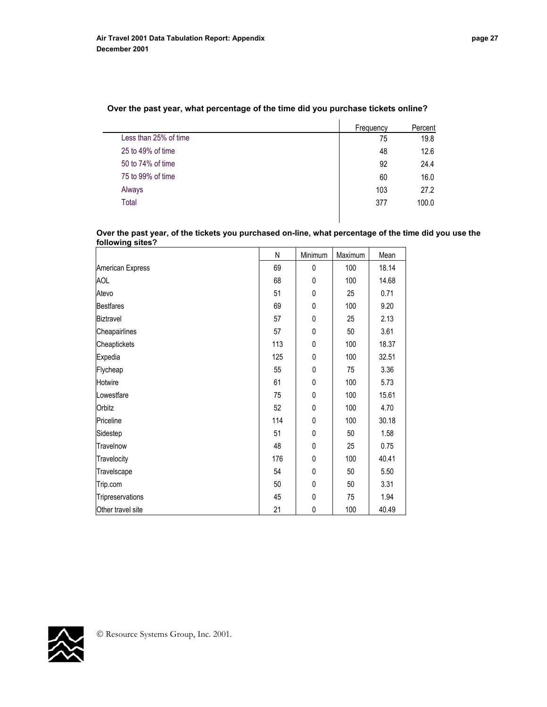$\overline{a}$ 

|                       | Frequency | Percent |
|-----------------------|-----------|---------|
| Less than 25% of time | 75        | 19.8    |
| 25 to 49% of time     | 48        | 12.6    |
| 50 to 74% of time     | 92        | 24.4    |
| 75 to 99% of time     | 60        | 16.0    |
| Always                | 103       | 27.2    |
| Total                 | 377       | 100.0   |
|                       |           |         |

## **Over the past year, what percentage of the time did you purchase tickets online?**

**Over the past year, of the tickets you purchased on-line, what percentage of the time did you use the following sites?** 

|                   | N   | Minimum      | Maximum | Mean  |
|-------------------|-----|--------------|---------|-------|
| American Express  | 69  | $\mathbf{0}$ | 100     | 18.14 |
| <b>AOL</b>        | 68  | 0            | 100     | 14.68 |
| Atevo             | 51  | $\mathbf{0}$ | 25      | 0.71  |
| <b>Bestfares</b>  | 69  | 0            | 100     | 9.20  |
| Biztravel         | 57  | 0            | 25      | 2.13  |
| Cheapairlines     | 57  | 0            | 50      | 3.61  |
| Cheaptickets      | 113 | 0            | 100     | 18.37 |
| Expedia           | 125 | 0            | 100     | 32.51 |
| Flycheap          | 55  | 0            | 75      | 3.36  |
| Hotwire           | 61  | 0            | 100     | 5.73  |
| Lowestfare        | 75  | 0            | 100     | 15.61 |
| Orbitz            | 52  | $\mathbf{0}$ | 100     | 4.70  |
| Priceline         | 114 | 0            | 100     | 30.18 |
| Sidestep          | 51  | 0            | 50      | 1.58  |
| Travelnow         | 48  | 0            | 25      | 0.75  |
| Travelocity       | 176 | 0            | 100     | 40.41 |
| Travelscape       | 54  | 0            | 50      | 5.50  |
| Trip.com          | 50  | 0            | 50      | 3.31  |
| Tripreservations  | 45  | 0            | 75      | 1.94  |
| Other travel site | 21  | 0            | 100     | 40.49 |

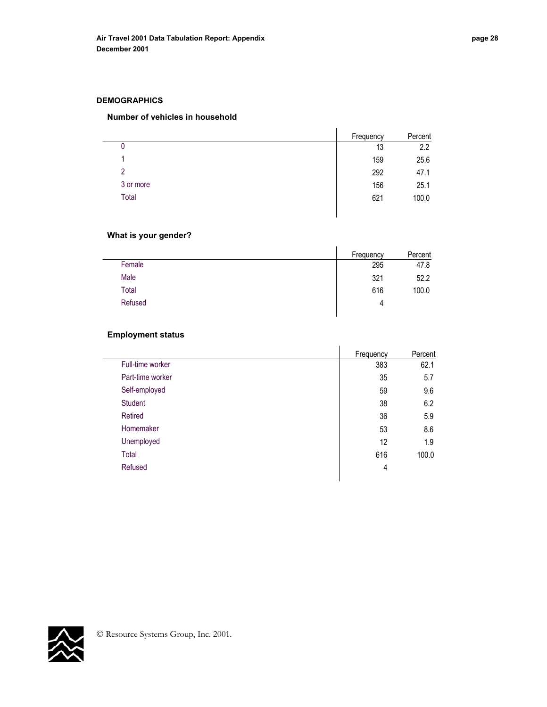#### **DEMOGRAPHICS**

#### **Number of vehicles in household**

|           | Frequency | Percent |
|-----------|-----------|---------|
| 0         | 13        | 2.2     |
| 4         | 159       | 25.6    |
| 2         | 292       | 47.1    |
| 3 or more | 156       | 25.1    |
| Total     | 621       | 100.0   |

## **What is your gender?**

|         | Frequency | Percent |
|---------|-----------|---------|
| Female  | 295       | 47.8    |
| Male    | 321       | 52.2    |
| Total   | 616       | 100.0   |
| Refused | 4         |         |
|         |           |         |

## **Employment status**

 $\overline{\phantom{0}}$ 

|                  | Frequency | Percent |
|------------------|-----------|---------|
| Full-time worker | 383       | 62.1    |
| Part-time worker | 35        | 5.7     |
| Self-employed    | 59        | 9.6     |
| <b>Student</b>   | 38        | 6.2     |
| Retired          | 36        | 5.9     |
| Homemaker        | 53        | 8.6     |
| Unemployed       | 12        | 1.9     |
| Total            | 616       | 100.0   |
| Refused          | 4         |         |
|                  |           |         |

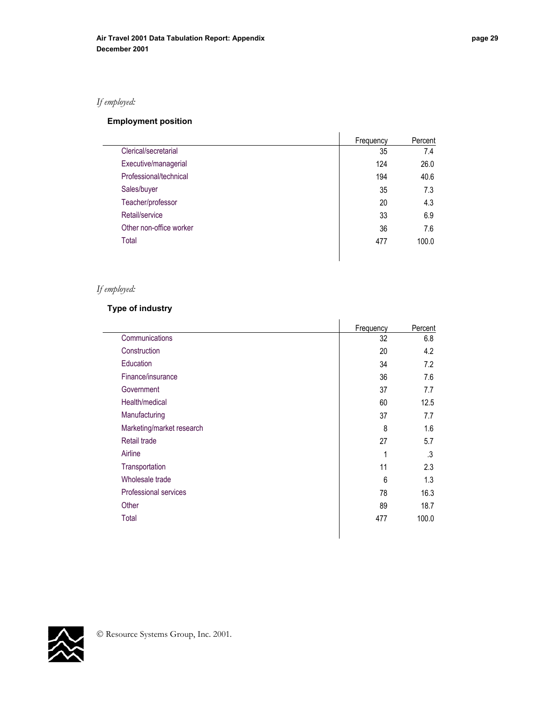# *If employed:*

# **Employment position**

|                         | Frequency | Percent |
|-------------------------|-----------|---------|
| Clerical/secretarial    | 35        | 7.4     |
| Executive/managerial    | 124       | 26.0    |
| Professional/technical  | 194       | 40.6    |
| Sales/buyer             | 35        | 7.3     |
| Teacher/professor       | 20        | 4.3     |
| Retail/service          | 33        | 6.9     |
| Other non-office worker | 36        | 7.6     |
| Total                   | 477       | 100.0   |
|                         |           |         |

# *If employed:*

# **Type of industry**

|                           | Frequency | Percent |
|---------------------------|-----------|---------|
| Communications            | 32        | 6.8     |
| Construction              | 20        | 4.2     |
| Education                 | 34        | 7.2     |
| Finance/insurance         | 36        | 7.6     |
| Government                | 37        | 7.7     |
| Health/medical            | 60        | 12.5    |
| Manufacturing             | 37        | 7.7     |
| Marketing/market research | 8         | 1.6     |
| Retail trade              | 27        | 5.7     |
| Airline                   | 1         | .3      |
| Transportation            | 11        | 2.3     |
| Wholesale trade           | 6         | 1.3     |
| Professional services     | 78        | 16.3    |
| Other                     | 89        | 18.7    |
| Total                     | 477       | 100.0   |
|                           |           |         |